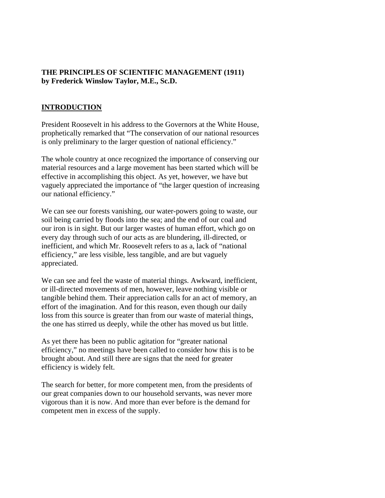## **THE PRINCIPLES OF SCIENTIFIC MANAGEMENT (1911) by Frederick Winslow Taylor, M.E., Sc.D.**

## **INTRODUCTION**

President Roosevelt in his address to the Governors at the White House, prophetically remarked that "The conservation of our national resources is only preliminary to the larger question of national efficiency."

The whole country at once recognized the importance of conserving our material resources and a large movement has been started which will be effective in accomplishing this object. As yet, however, we have but vaguely appreciated the importance of "the larger question of increasing our national efficiency."

We can see our forests vanishing, our water-powers going to waste, our soil being carried by floods into the sea; and the end of our coal and our iron is in sight. But our larger wastes of human effort, which go on every day through such of our acts as are blundering, ill-directed, or inefficient, and which Mr. Roosevelt refers to as a, lack of "national efficiency," are less visible, less tangible, and are but vaguely appreciated.

We can see and feel the waste of material things. Awkward, inefficient, or ill-directed movements of men, however, leave nothing visible or tangible behind them. Their appreciation calls for an act of memory, an effort of the imagination. And for this reason, even though our daily loss from this source is greater than from our waste of material things, the one has stirred us deeply, while the other has moved us but little.

As yet there has been no public agitation for "greater national efficiency," no meetings have been called to consider how this is to be brought about. And still there are signs that the need for greater efficiency is widely felt.

The search for better, for more competent men, from the presidents of our great companies down to our household servants, was never more vigorous than it is now. And more than ever before is the demand for competent men in excess of the supply.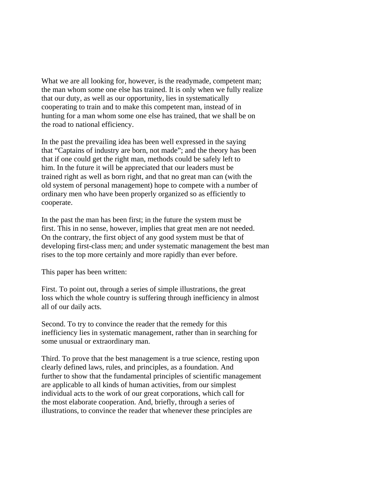What we are all looking for, however, is the readymade, competent man; the man whom some one else has trained. It is only when we fully realize that our duty, as well as our opportunity, lies in systematically cooperating to train and to make this competent man, instead of in hunting for a man whom some one else has trained, that we shall be on the road to national efficiency.

In the past the prevailing idea has been well expressed in the saying that "Captains of industry are born, not made"; and the theory has been that if one could get the right man, methods could be safely left to him. In the future it will be appreciated that our leaders must be trained right as well as born right, and that no great man can (with the old system of personal management) hope to compete with a number of ordinary men who have been properly organized so as efficiently to cooperate.

In the past the man has been first; in the future the system must be first. This in no sense, however, implies that great men are not needed. On the contrary, the first object of any good system must be that of developing first-class men; and under systematic management the best man rises to the top more certainly and more rapidly than ever before.

This paper has been written:

First. To point out, through a series of simple illustrations, the great loss which the whole country is suffering through inefficiency in almost all of our daily acts.

Second. To try to convince the reader that the remedy for this inefficiency lies in systematic management, rather than in searching for some unusual or extraordinary man.

Third. To prove that the best management is a true science, resting upon clearly defined laws, rules, and principles, as a foundation. And further to show that the fundamental principles of scientific management are applicable to all kinds of human activities, from our simplest individual acts to the work of our great corporations, which call for the most elaborate cooperation. And, briefly, through a series of illustrations, to convince the reader that whenever these principles are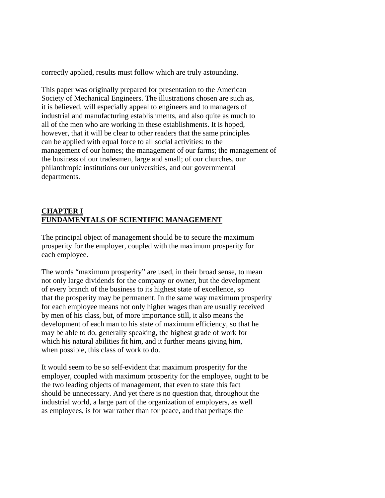correctly applied, results must follow which are truly astounding.

This paper was originally prepared for presentation to the American Society of Mechanical Engineers. The illustrations chosen are such as, it is believed, will especially appeal to engineers and to managers of industrial and manufacturing establishments, and also quite as much to all of the men who are working in these establishments. It is hoped, however, that it will be clear to other readers that the same principles can be applied with equal force to all social activities: to the management of our homes; the management of our farms; the management of the business of our tradesmen, large and small; of our churches, our philanthropic institutions our universities, and our governmental departments.

# **CHAPTER I FUNDAMENTALS OF SCIENTIFIC MANAGEMENT**

The principal object of management should be to secure the maximum prosperity for the employer, coupled with the maximum prosperity for each employee.

The words "maximum prosperity" are used, in their broad sense, to mean not only large dividends for the company or owner, but the development of every branch of the business to its highest state of excellence, so that the prosperity may be permanent. In the same way maximum prosperity for each employee means not only higher wages than are usually received by men of his class, but, of more importance still, it also means the development of each man to his state of maximum efficiency, so that he may be able to do, generally speaking, the highest grade of work for which his natural abilities fit him, and it further means giving him, when possible, this class of work to do.

It would seem to be so self-evident that maximum prosperity for the employer, coupled with maximum prosperity for the employee, ought to be the two leading objects of management, that even to state this fact should be unnecessary. And yet there is no question that, throughout the industrial world, a large part of the organization of employers, as well as employees, is for war rather than for peace, and that perhaps the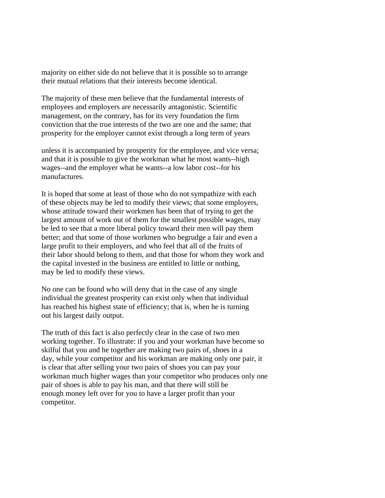majority on either side do not believe that it is possible so to arrange their mutual relations that their interests become identical.

The majority of these men believe that the fundamental interests of employees and employers are necessarily antagonistic. Scientific management, on the contrary, has for its very foundation the firm conviction that the true interests of the two are one and the same; that prosperity for the employer cannot exist through a long term of years

unless it is accompanied by prosperity for the employee, and vice versa; and that it is possible to give the workman what he most wants--high wages--and the employer what he wants--a low labor cost--for his manufactures.

It is hoped that some at least of those who do not sympathize with each of these objects may be led to modify their views; that some employers, whose attitude toward their workmen has been that of trying to get the largest amount of work out of them for the smallest possible wages, may be led to see that a more liberal policy toward their men will pay them better; and that some of those workmen who begrudge a fair and even a large profit to their employers, and who feel that all of the fruits of their labor should belong to them, and that those for whom they work and the capital invested in the business are entitled to little or nothing, may be led to modify these views.

No one can be found who will deny that in the case of any single individual the greatest prosperity can exist only when that individual has reached his highest state of efficiency; that is, when he is turning out his largest daily output.

The truth of this fact is also perfectly clear in the case of two men working together. To illustrate: if you and your workman have become so skilful that you and he together are making two pairs of, shoes in a day, while your competitor and his workman are making only one pair, it is clear that after selling your two pairs of shoes you can pay your workman much higher wages than your competitor who produces only one pair of shoes is able to pay his man, and that there will still be enough money left over for you to have a larger profit than your competitor.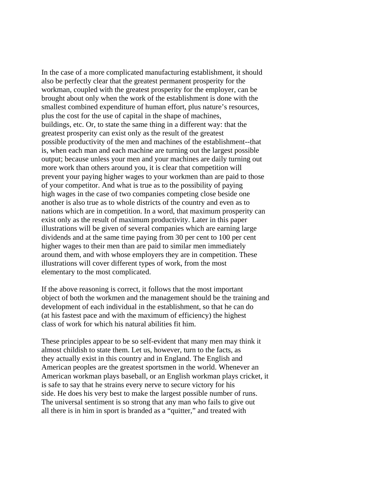In the case of a more complicated manufacturing establishment, it should also be perfectly clear that the greatest permanent prosperity for the workman, coupled with the greatest prosperity for the employer, can be brought about only when the work of the establishment is done with the smallest combined expenditure of human effort, plus nature's resources, plus the cost for the use of capital in the shape of machines, buildings, etc. Or, to state the same thing in a different way: that the greatest prosperity can exist only as the result of the greatest possible productivity of the men and machines of the establishment--that is, when each man and each machine are turning out the largest possible output; because unless your men and your machines are daily turning out more work than others around you, it is clear that competition will prevent your paying higher wages to your workmen than are paid to those of your competitor. And what is true as to the possibility of paying high wages in the case of two companies competing close beside one another is also true as to whole districts of the country and even as to nations which are in competition. In a word, that maximum prosperity can exist only as the result of maximum productivity. Later in this paper illustrations will be given of several companies which are earning large dividends and at the same time paying from 30 per cent to 100 per cent higher wages to their men than are paid to similar men immediately around them, and with whose employers they are in competition. These illustrations will cover different types of work, from the most elementary to the most complicated.

If the above reasoning is correct, it follows that the most important object of both the workmen and the management should be the training and development of each individual in the establishment, so that he can do (at his fastest pace and with the maximum of efficiency) the highest class of work for which his natural abilities fit him.

These principles appear to be so self-evident that many men may think it almost childish to state them. Let us, however, turn to the facts, as they actually exist in this country and in England. The English and American peoples are the greatest sportsmen in the world. Whenever an American workman plays baseball, or an English workman plays cricket, it is safe to say that he strains every nerve to secure victory for his side. He does his very best to make the largest possible number of runs. The universal sentiment is so strong that any man who fails to give out all there is in him in sport is branded as a "quitter," and treated with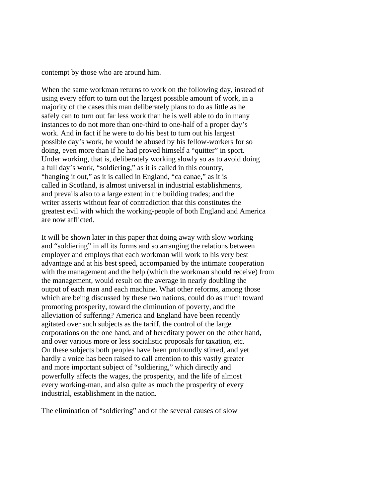contempt by those who are around him.

When the same workman returns to work on the following day, instead of using every effort to turn out the largest possible amount of work, in a majority of the cases this man deliberately plans to do as little as he safely can to turn out far less work than he is well able to do in many instances to do not more than one-third to one-half of a proper day's work. And in fact if he were to do his best to turn out his largest possible day's work, he would be abused by his fellow-workers for so doing, even more than if he had proved himself a "quitter" in sport. Under working, that is, deliberately working slowly so as to avoid doing a full day's work, "soldiering," as it is called in this country, "hanging it out," as it is called in England, "ca canae," as it is called in Scotland, is almost universal in industrial establishments, and prevails also to a large extent in the building trades; and the writer asserts without fear of contradiction that this constitutes the greatest evil with which the working-people of both England and America are now afflicted.

It will be shown later in this paper that doing away with slow working and "soldiering" in all its forms and so arranging the relations between employer and employs that each workman will work to his very best advantage and at his best speed, accompanied by the intimate cooperation with the management and the help (which the workman should receive) from the management, would result on the average in nearly doubling the output of each man and each machine. What other reforms, among those which are being discussed by these two nations, could do as much toward promoting prosperity, toward the diminution of poverty, and the alleviation of suffering? America and England have been recently agitated over such subjects as the tariff, the control of the large corporations on the one hand, and of hereditary power on the other hand, and over various more or less socialistic proposals for taxation, etc. On these subjects both peoples have been profoundly stirred, and yet hardly a voice has been raised to call attention to this vastly greater and more important subject of "soldiering," which directly and powerfully affects the wages, the prosperity, and the life of almost every working-man, and also quite as much the prosperity of every industrial, establishment in the nation.

The elimination of "soldiering" and of the several causes of slow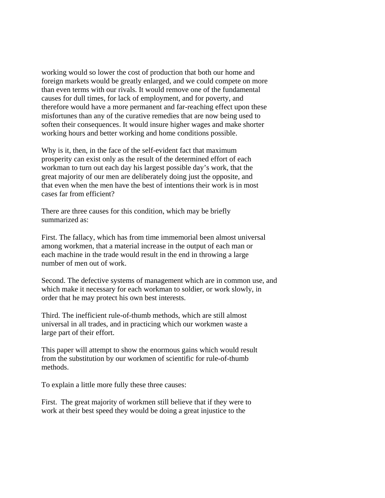working would so lower the cost of production that both our home and foreign markets would be greatly enlarged, and we could compete on more than even terms with our rivals. It would remove one of the fundamental causes for dull times, for lack of employment, and for poverty, and therefore would have a more permanent and far-reaching effect upon these misfortunes than any of the curative remedies that are now being used to soften their consequences. It would insure higher wages and make shorter working hours and better working and home conditions possible.

Why is it, then, in the face of the self-evident fact that maximum prosperity can exist only as the result of the determined effort of each workman to turn out each day his largest possible day's work, that the great majority of our men are deliberately doing just the opposite, and that even when the men have the best of intentions their work is in most cases far from efficient?

There are three causes for this condition, which may be briefly summarized as:

First. The fallacy, which has from time immemorial been almost universal among workmen, that a material increase in the output of each man or each machine in the trade would result in the end in throwing a large number of men out of work.

Second. The defective systems of management which are in common use, and which make it necessary for each workman to soldier, or work slowly, in order that he may protect his own best interests.

Third. The inefficient rule-of-thumb methods, which are still almost universal in all trades, and in practicing which our workmen waste a large part of their effort.

This paper will attempt to show the enormous gains which would result from the substitution by our workmen of scientific for rule-of-thumb methods.

To explain a little more fully these three causes:

First. The great majority of workmen still believe that if they were to work at their best speed they would be doing a great injustice to the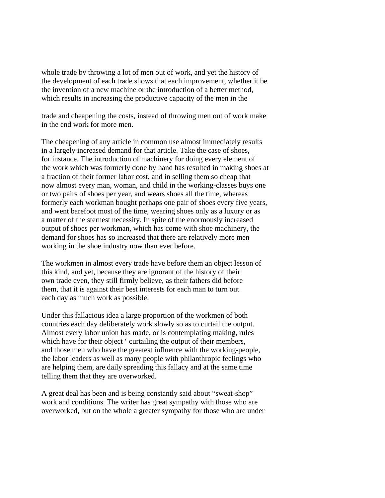whole trade by throwing a lot of men out of work, and yet the history of the development of each trade shows that each improvement, whether it be the invention of a new machine or the introduction of a better method, which results in increasing the productive capacity of the men in the

trade and cheapening the costs, instead of throwing men out of work make in the end work for more men.

The cheapening of any article in common use almost immediately results in a largely increased demand for that article. Take the case of shoes, for instance. The introduction of machinery for doing every element of the work which was formerly done by hand has resulted in making shoes at a fraction of their former labor cost, and in selling them so cheap that now almost every man, woman, and child in the working-classes buys one or two pairs of shoes per year, and wears shoes all the time, whereas formerly each workman bought perhaps one pair of shoes every five years, and went barefoot most of the time, wearing shoes only as a luxury or as a matter of the sternest necessity. In spite of the enormously increased output of shoes per workman, which has come with shoe machinery, the demand for shoes has so increased that there are relatively more men working in the shoe industry now than ever before.

The workmen in almost every trade have before them an object lesson of this kind, and yet, because they are ignorant of the history of their own trade even, they still firmly believe, as their fathers did before them, that it is against their best interests for each man to turn out each day as much work as possible.

Under this fallacious idea a large proportion of the workmen of both countries each day deliberately work slowly so as to curtail the output. Almost every labor union has made, or is contemplating making, rules which have for their object ' curtailing the output of their members, and those men who have the greatest influence with the working-people, the labor leaders as well as many people with philanthropic feelings who are helping them, are daily spreading this fallacy and at the same time telling them that they are overworked.

A great deal has been and is being constantly said about "sweat-shop" work and conditions. The writer has great sympathy with those who are overworked, but on the whole a greater sympathy for those who are under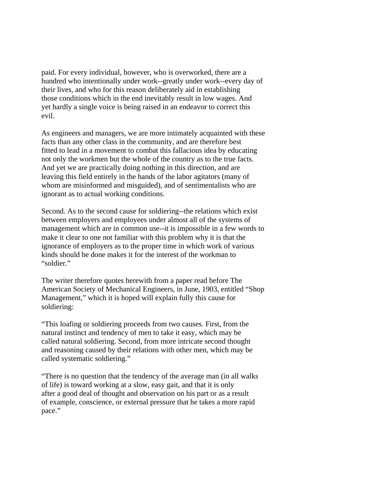paid. For every individual, however, who is overworked, there are a hundred who intentionally under work--greatly under work--every day of their lives, and who for this reason deliberately aid in establishing those conditions which in the end inevitably result in low wages. And yet hardly a single voice is being raised in an endeavor to correct this evil.

As engineers and managers, we are more intimately acquainted with these facts than any other class in the community, and are therefore best fitted to lead in a movement to combat this fallacious idea by educating not only the workmen but the whole of the country as to the true facts. And yet we are practically doing nothing in this direction, and are leaving this field entirely in the hands of the labor agitators (many of whom are misinformed and misguided), and of sentimentalists who are ignorant as to actual working conditions.

Second. As to the second cause for soldiering--the relations which exist between employers and employees under almost all of the systems of management which are in common use--it is impossible in a few words to make it clear to one not familiar with this problem why it is that the ignorance of employers as to the proper time in which work of various kinds should be done makes it for the interest of the workman to "soldier."

The writer therefore quotes herewith from a paper read before The American Society of Mechanical Engineers, in June, 1903, entitled "Shop Management," which it is hoped will explain fully this cause for soldiering:

"This loafing or soldiering proceeds from two causes. First, from the natural instinct and tendency of men to take it easy, which may be called natural soldiering. Second, from more intricate second thought and reasoning caused by their relations with other men, which may be called systematic soldiering."

"There is no question that the tendency of the average man (in all walks of life) is toward working at a slow, easy gait, and that it is only after a good deal of thought and observation on his part or as a result of example, conscience, or external pressure that he takes a more rapid pace."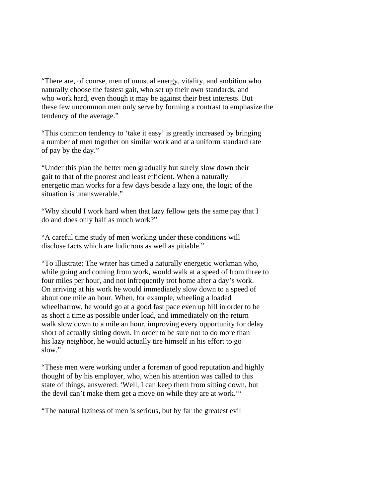"There are, of course, men of unusual energy, vitality, and ambition who naturally choose the fastest gait, who set up their own standards, and who work hard, even though it may be against their best interests. But these few uncommon men only serve by forming a contrast to emphasize the tendency of the average."

"This common tendency to 'take it easy' is greatly increased by bringing a number of men together on similar work and at a uniform standard rate of pay by the day."

"Under this plan the better men gradually but surely slow down their gait to that of the poorest and least efficient. When a naturally energetic man works for a few days beside a lazy one, the logic of the situation is unanswerable."

"Why should I work hard when that lazy fellow gets the same pay that I do and does only half as much work?"

"A careful time study of men working under these conditions will disclose facts which are ludicrous as well as pitiable."

"To illustrate: The writer has timed a naturally energetic workman who, while going and coming from work, would walk at a speed of from three to four miles per hour, and not infrequently trot home after a day's work. On arriving at his work he would immediately slow down to a speed of about one mile an hour. When, for example, wheeling a loaded wheelbarrow, he would go at a good fast pace even up hill in order to be as short a time as possible under load, and immediately on the return walk slow down to a mile an hour, improving every opportunity for delay short of actually sitting down. In order to be sure not to do more than his lazy neighbor, he would actually tire himself in his effort to go slow."

"These men were working under a foreman of good reputation and highly thought of by his employer, who, when his attention was called to this state of things, answered: 'Well, I can keep them from sitting down, but the devil can't make them get a move on while they are at work.'"

"The natural laziness of men is serious, but by far the greatest evil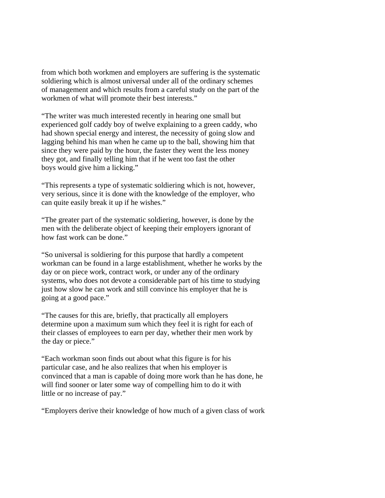from which both workmen and employers are suffering is the systematic soldiering which is almost universal under all of the ordinary schemes of management and which results from a careful study on the part of the workmen of what will promote their best interests."

"The writer was much interested recently in hearing one small but experienced golf caddy boy of twelve explaining to a green caddy, who had shown special energy and interest, the necessity of going slow and lagging behind his man when he came up to the ball, showing him that since they were paid by the hour, the faster they went the less money they got, and finally telling him that if he went too fast the other boys would give him a licking."

"This represents a type of systematic soldiering which is not, however, very serious, since it is done with the knowledge of the employer, who can quite easily break it up if he wishes."

"The greater part of the systematic soldiering, however, is done by the men with the deliberate object of keeping their employers ignorant of how fast work can be done."

"So universal is soldiering for this purpose that hardly a competent workman can be found in a large establishment, whether he works by the day or on piece work, contract work, or under any of the ordinary systems, who does not devote a considerable part of his time to studying just how slow he can work and still convince his employer that he is going at a good pace."

"The causes for this are, briefly, that practically all employers determine upon a maximum sum which they feel it is right for each of their classes of employees to earn per day, whether their men work by the day or piece."

"Each workman soon finds out about what this figure is for his particular case, and he also realizes that when his employer is convinced that a man is capable of doing more work than he has done, he will find sooner or later some way of compelling him to do it with little or no increase of pay."

"Employers derive their knowledge of how much of a given class of work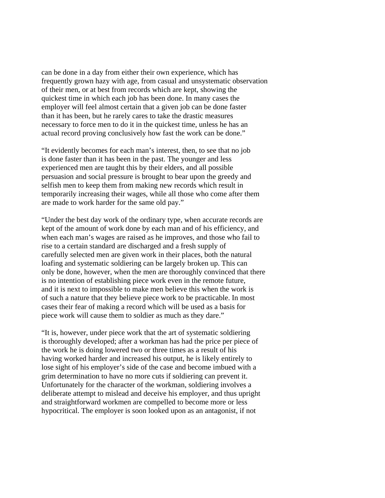can be done in a day from either their own experience, which has frequently grown hazy with age, from casual and unsystematic observation of their men, or at best from records which are kept, showing the quickest time in which each job has been done. In many cases the employer will feel almost certain that a given job can be done faster than it has been, but he rarely cares to take the drastic measures necessary to force men to do it in the quickest time, unless he has an actual record proving conclusively how fast the work can be done."

"It evidently becomes for each man's interest, then, to see that no job is done faster than it has been in the past. The younger and less experienced men are taught this by their elders, and all possible persuasion and social pressure is brought to bear upon the greedy and selfish men to keep them from making new records which result in temporarily increasing their wages, while all those who come after them are made to work harder for the same old pay."

"Under the best day work of the ordinary type, when accurate records are kept of the amount of work done by each man and of his efficiency, and when each man's wages are raised as he improves, and those who fail to rise to a certain standard are discharged and a fresh supply of carefully selected men are given work in their places, both the natural loafing and systematic soldiering can be largely broken up. This can only be done, however, when the men are thoroughly convinced that there is no intention of establishing piece work even in the remote future, and it is next to impossible to make men believe this when the work is of such a nature that they believe piece work to be practicable. In most cases their fear of making a record which will be used as a basis for piece work will cause them to soldier as much as they dare."

"It is, however, under piece work that the art of systematic soldiering is thoroughly developed; after a workman has had the price per piece of the work he is doing lowered two or three times as a result of his having worked harder and increased his output, he is likely entirely to lose sight of his employer's side of the case and become imbued with a grim determination to have no more cuts if soldiering can prevent it. Unfortunately for the character of the workman, soldiering involves a deliberate attempt to mislead and deceive his employer, and thus upright and straightforward workmen are compelled to become more or less hypocritical. The employer is soon looked upon as an antagonist, if not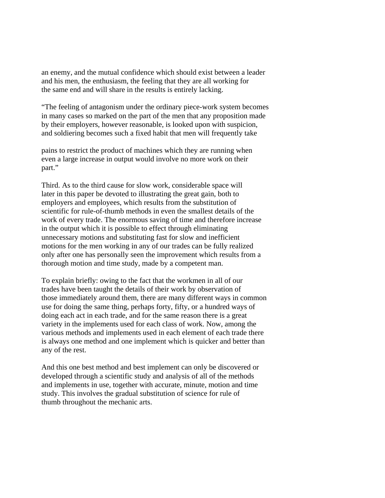an enemy, and the mutual confidence which should exist between a leader and his men, the enthusiasm, the feeling that they are all working for the same end and will share in the results is entirely lacking.

"The feeling of antagonism under the ordinary piece-work system becomes in many cases so marked on the part of the men that any proposition made by their employers, however reasonable, is looked upon with suspicion, and soldiering becomes such a fixed habit that men will frequently take

pains to restrict the product of machines which they are running when even a large increase in output would involve no more work on their part."

Third. As to the third cause for slow work, considerable space will later in this paper be devoted to illustrating the great gain, both to employers and employees, which results from the substitution of scientific for rule-of-thumb methods in even the smallest details of the work of every trade. The enormous saving of time and therefore increase in the output which it is possible to effect through eliminating unnecessary motions and substituting fast for slow and inefficient motions for the men working in any of our trades can be fully realized only after one has personally seen the improvement which results from a thorough motion and time study, made by a competent man.

To explain briefly: owing to the fact that the workmen in all of our trades have been taught the details of their work by observation of those immediately around them, there are many different ways in common use for doing the same thing, perhaps forty, fifty, or a hundred ways of doing each act in each trade, and for the same reason there is a great variety in the implements used for each class of work. Now, among the various methods and implements used in each element of each trade there is always one method and one implement which is quicker and better than any of the rest.

And this one best method and best implement can only be discovered or developed through a scientific study and analysis of all of the methods and implements in use, together with accurate, minute, motion and time study. This involves the gradual substitution of science for rule of thumb throughout the mechanic arts.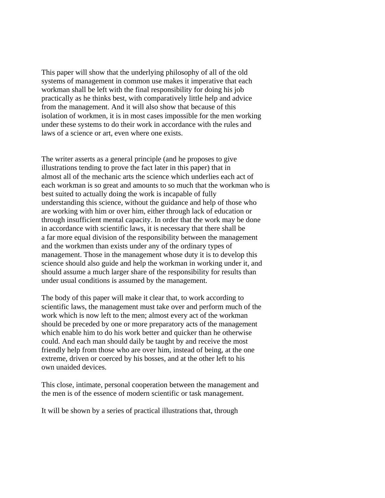This paper will show that the underlying philosophy of all of the old systems of management in common use makes it imperative that each workman shall be left with the final responsibility for doing his job practically as he thinks best, with comparatively little help and advice from the management. And it will also show that because of this isolation of workmen, it is in most cases impossible for the men working under these systems to do their work in accordance with the rules and laws of a science or art, even where one exists.

The writer asserts as a general principle (and he proposes to give illustrations tending to prove the fact later in this paper) that in almost all of the mechanic arts the science which underlies each act of each workman is so great and amounts to so much that the workman who is best suited to actually doing the work is incapable of fully understanding this science, without the guidance and help of those who are working with him or over him, either through lack of education or through insufficient mental capacity. In order that the work may be done in accordance with scientific laws, it is necessary that there shall be a far more equal division of the responsibility between the management and the workmen than exists under any of the ordinary types of management. Those in the management whose duty it is to develop this science should also guide and help the workman in working under it, and should assume a much larger share of the responsibility for results than under usual conditions is assumed by the management.

The body of this paper will make it clear that, to work according to scientific laws, the management must take over and perform much of the work which is now left to the men; almost every act of the workman should be preceded by one or more preparatory acts of the management which enable him to do his work better and quicker than he otherwise could. And each man should daily be taught by and receive the most friendly help from those who are over him, instead of being, at the one extreme, driven or coerced by his bosses, and at the other left to his own unaided devices.

This close, intimate, personal cooperation between the management and the men is of the essence of modern scientific or task management.

It will be shown by a series of practical illustrations that, through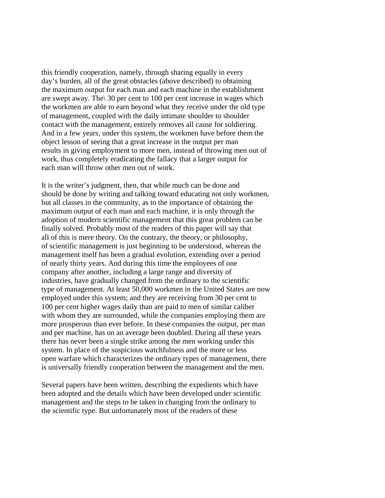this friendly cooperation, namely, through sharing equally in every day's burden, all of the great obstacles (above described) to obtaining the maximum output for each man and each machine in the establishment are swept away. The\ 30 per cent to 100 per cent increase in wages which the workmen are able to earn beyond what they receive under the old type of management, coupled with the daily intimate shoulder to shoulder contact with the management, entirely removes all cause for soldiering. And in a few years, under this system, the workmen have before them the object lesson of seeing that a great increase in the output per man results in giving employment to more men, instead of throwing men out of work, thus completely eradicating the fallacy that a larger output for each man will throw other men out of work.

It is the writer's judgment, then, that while much can be done and should be done by writing and talking toward educating not only workmen, but all classes in the community, as to the importance of obtaining the maximum output of each man and each machine, it is only through the adoption of modern scientific management that this great problem can be finally solved. Probably most of the readers of this paper will say that all of this is mere theory. On the contrary, the theory, or philosophy, of scientific management is just beginning to be understood, whereas the management itself has been a gradual evolution, extending over a period of nearly thirty years. And during this time the employees of one company after another, including a large range and diversity of industries, have gradually changed from the ordinary to the scientific type of management. At least 50,000 workmen in the United States are now employed under this system; and they are receiving from 30 per cent to 100 per cent higher wages daily than are paid to men of similar caliber with whom they are surrounded, while the companies employing them are more prosperous than ever before. In these companies the output, per man and per machine, has on an average been doubled. During all these years there has never been a single strike among the men working under this system. In place of the suspicious watchfulness and the more or less open warfare which characterizes the ordinary types of management, there is universally friendly cooperation between the management and the men.

Several papers have been written, describing the expedients which have been adopted and the details which have been developed under scientific management and the steps to be taken in changing from the ordinary to the scientific type. But unfortunately most of the readers of these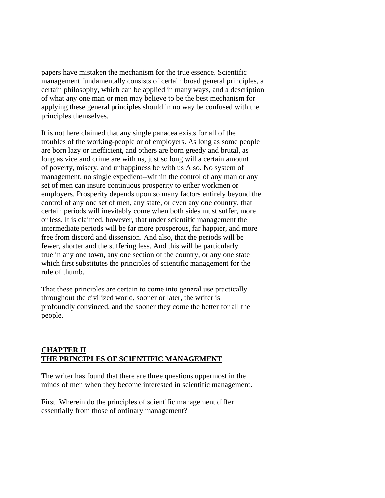papers have mistaken the mechanism for the true essence. Scientific management fundamentally consists of certain broad general principles, a certain philosophy, which can be applied in many ways, and a description of what any one man or men may believe to be the best mechanism for applying these general principles should in no way be confused with the principles themselves.

It is not here claimed that any single panacea exists for all of the troubles of the working-people or of employers. As long as some people are born lazy or inefficient, and others are born greedy and brutal, as long as vice and crime are with us, just so long will a certain amount of poverty, misery, and unhappiness be with us Also. No system of management, no single expedient--within the control of any man or any set of men can insure continuous prosperity to either workmen or employers. Prosperity depends upon so many factors entirely beyond the control of any one set of men, any state, or even any one country, that certain periods will inevitably come when both sides must suffer, more or less. It is claimed, however, that under scientific management the intermediate periods will be far more prosperous, far happier, and more free from discord and dissension. And also, that the periods will be fewer, shorter and the suffering less. And this will be particularly true in any one town, any one section of the country, or any one state which first substitutes the principles of scientific management for the rule of thumb.

That these principles are certain to come into general use practically throughout the civilized world, sooner or later, the writer is profoundly convinced, and the sooner they come the better for all the people.

#### **CHAPTER II THE PRINCIPLES OF SCIENTIFIC MANAGEMENT**

The writer has found that there are three questions uppermost in the minds of men when they become interested in scientific management.

First. Wherein do the principles of scientific management differ essentially from those of ordinary management?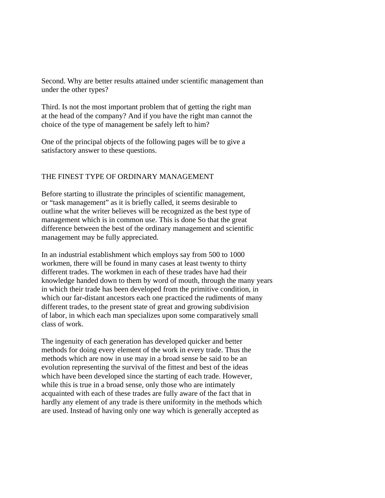Second. Why are better results attained under scientific management than under the other types?

Third. Is not the most important problem that of getting the right man at the head of the company? And if you have the right man cannot the choice of the type of management be safely left to him?

One of the principal objects of the following pages will be to give a satisfactory answer to these questions.

## THE FINEST TYPE OF ORDINARY MANAGEMENT

Before starting to illustrate the principles of scientific management, or "task management" as it is briefly called, it seems desirable to outline what the writer believes will be recognized as the best type of management which is in common use. This is done So that the great difference between the best of the ordinary management and scientific management may be fully appreciated.

In an industrial establishment which employs say from 500 to 1000 workmen, there will be found in many cases at least twenty to thirty different trades. The workmen in each of these trades have had their knowledge handed down to them by word of mouth, through the many years in which their trade has been developed from the primitive condition, in which our far-distant ancestors each one practiced the rudiments of many different trades, to the present state of great and growing subdivision of labor, in which each man specializes upon some comparatively small class of work.

The ingenuity of each generation has developed quicker and better methods for doing every element of the work in every trade. Thus the methods which are now in use may in a broad sense be said to be an evolution representing the survival of the fittest and best of the ideas which have been developed since the starting of each trade. However, while this is true in a broad sense, only those who are intimately acquainted with each of these trades are fully aware of the fact that in hardly any element of any trade is there uniformity in the methods which are used. Instead of having only one way which is generally accepted as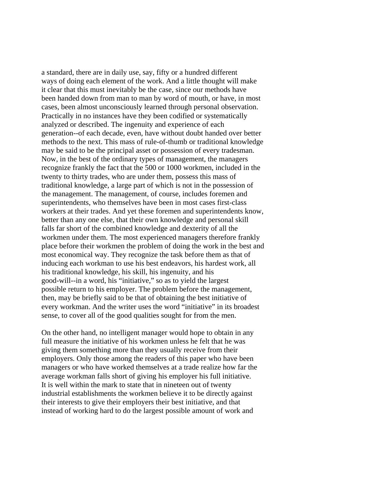a standard, there are in daily use, say, fifty or a hundred different ways of doing each element of the work. And a little thought will make it clear that this must inevitably be the case, since our methods have been handed down from man to man by word of mouth, or have, in most cases, been almost unconsciously learned through personal observation. Practically in no instances have they been codified or systematically analyzed or described. The ingenuity and experience of each generation--of each decade, even, have without doubt handed over better methods to the next. This mass of rule-of-thumb or traditional knowledge may be said to be the principal asset or possession of every tradesman. Now, in the best of the ordinary types of management, the managers recognize frankly the fact that the 500 or 1000 workmen, included in the twenty to thirty trades, who are under them, possess this mass of traditional knowledge, a large part of which is not in the possession of the management. The management, of course, includes foremen and superintendents, who themselves have been in most cases first-class workers at their trades. And yet these foremen and superintendents know, better than any one else, that their own knowledge and personal skill falls far short of the combined knowledge and dexterity of all the workmen under them. The most experienced managers therefore frankly place before their workmen the problem of doing the work in the best and most economical way. They recognize the task before them as that of inducing each workman to use his best endeavors, his hardest work, all his traditional knowledge, his skill, his ingenuity, and his good-will--in a word, his "initiative," so as to yield the largest possible return to his employer. The problem before the management, then, may be briefly said to be that of obtaining the best initiative of every workman. And the writer uses the word "initiative" in its broadest sense, to cover all of the good qualities sought for from the men.

On the other hand, no intelligent manager would hope to obtain in any full measure the initiative of his workmen unless he felt that he was giving them something more than they usually receive from their employers. Only those among the readers of this paper who have been managers or who have worked themselves at a trade realize how far the average workman falls short of giving his employer his full initiative. It is well within the mark to state that in nineteen out of twenty industrial establishments the workmen believe it to be directly against their interests to give their employers their best initiative, and that instead of working hard to do the largest possible amount of work and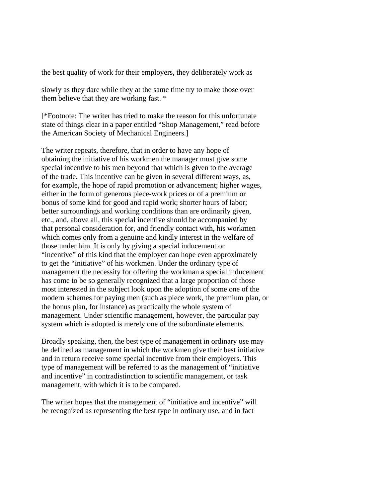the best quality of work for their employers, they deliberately work as

slowly as they dare while they at the same time try to make those over them believe that they are working fast. \*

[\*Footnote: The writer has tried to make the reason for this unfortunate state of things clear in a paper entitled "Shop Management," read before the American Society of Mechanical Engineers.]

The writer repeats, therefore, that in order to have any hope of obtaining the initiative of his workmen the manager must give some special incentive to his men beyond that which is given to the average of the trade. This incentive can be given in several different ways, as, for example, the hope of rapid promotion or advancement; higher wages, either in the form of generous piece-work prices or of a premium or bonus of some kind for good and rapid work; shorter hours of labor; better surroundings and working conditions than are ordinarily given, etc., and, above all, this special incentive should be accompanied by that personal consideration for, and friendly contact with, his workmen which comes only from a genuine and kindly interest in the welfare of those under him. It is only by giving a special inducement or "incentive" of this kind that the employer can hope even approximately to get the "initiative" of his workmen. Under the ordinary type of management the necessity for offering the workman a special inducement has come to be so generally recognized that a large proportion of those most interested in the subject look upon the adoption of some one of the modern schemes for paying men (such as piece work, the premium plan, or the bonus plan, for instance) as practically the whole system of management. Under scientific management, however, the particular pay system which is adopted is merely one of the subordinate elements.

Broadly speaking, then, the best type of management in ordinary use may be defined as management in which the workmen give their best initiative and in return receive some special incentive from their employers. This type of management will be referred to as the management of "initiative and incentive" in contradistinction to scientific management, or task management, with which it is to be compared.

The writer hopes that the management of "initiative and incentive" will be recognized as representing the best type in ordinary use, and in fact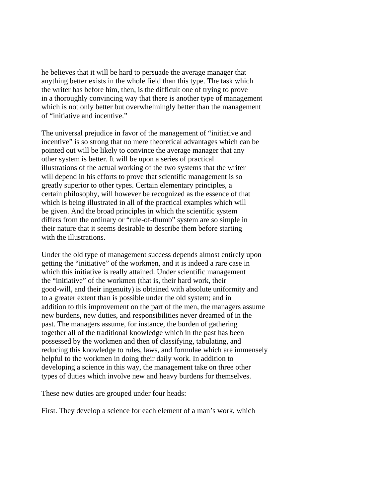he believes that it will be hard to persuade the average manager that anything better exists in the whole field than this type. The task which the writer has before him, then, is the difficult one of trying to prove in a thoroughly convincing way that there is another type of management which is not only better but overwhelmingly better than the management of "initiative and incentive."

The universal prejudice in favor of the management of "initiative and incentive" is so strong that no mere theoretical advantages which can be pointed out will be likely to convince the average manager that any other system is better. It will be upon a series of practical illustrations of the actual working of the two systems that the writer will depend in his efforts to prove that scientific management is so greatly superior to other types. Certain elementary principles, a certain philosophy, will however be recognized as the essence of that which is being illustrated in all of the practical examples which will be given. And the broad principles in which the scientific system differs from the ordinary or "rule-of-thumb" system are so simple in their nature that it seems desirable to describe them before starting with the illustrations.

Under the old type of management success depends almost entirely upon getting the "initiative" of the workmen, and it is indeed a rare case in which this initiative is really attained. Under scientific management the "initiative" of the workmen (that is, their hard work, their good-will, and their ingenuity) is obtained with absolute uniformity and to a greater extent than is possible under the old system; and in addition to this improvement on the part of the men, the managers assume new burdens, new duties, and responsibilities never dreamed of in the past. The managers assume, for instance, the burden of gathering together all of the traditional knowledge which in the past has been possessed by the workmen and then of classifying, tabulating, and reducing this knowledge to rules, laws, and formulae which are immensely helpful to the workmen in doing their daily work. In addition to developing a science in this way, the management take on three other types of duties which involve new and heavy burdens for themselves.

These new duties are grouped under four heads:

First. They develop a science for each element of a man's work, which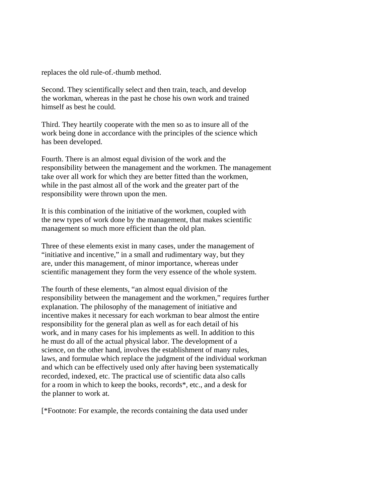replaces the old rule-of.-thumb method.

Second. They scientifically select and then train, teach, and develop the workman, whereas in the past he chose his own work and trained himself as best he could.

Third. They heartily cooperate with the men so as to insure all of the work being done in accordance with the principles of the science which has been developed.

Fourth. There is an almost equal division of the work and the responsibility between the management and the workmen. The management take over all work for which they are better fitted than the workmen, while in the past almost all of the work and the greater part of the responsibility were thrown upon the men.

It is this combination of the initiative of the workmen, coupled with the new types of work done by the management, that makes scientific management so much more efficient than the old plan.

Three of these elements exist in many cases, under the management of "initiative and incentive," in a small and rudimentary way, but they are, under this management, of minor importance, whereas under scientific management they form the very essence of the whole system.

The fourth of these elements, "an almost equal division of the responsibility between the management and the workmen," requires further explanation. The philosophy of the management of initiative and incentive makes it necessary for each workman to bear almost the entire responsibility for the general plan as well as for each detail of his work, and in many cases for his implements as well. In addition to this he must do all of the actual physical labor. The development of a science, on the other hand, involves the establishment of many rules, laws, and formulae which replace the judgment of the individual workman and which can be effectively used only after having been systematically recorded, indexed, etc. The practical use of scientific data also calls for a room in which to keep the books, records\*, etc., and a desk for the planner to work at.

[\*Footnote: For example, the records containing the data used under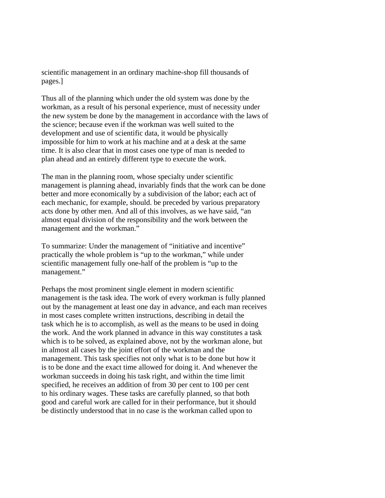scientific management in an ordinary machine-shop fill thousands of pages.]

Thus all of the planning which under the old system was done by the workman, as a result of his personal experience, must of necessity under the new system be done by the management in accordance with the laws of the science; because even if the workman was well suited to the development and use of scientific data, it would be physically impossible for him to work at his machine and at a desk at the same time. It is also clear that in most cases one type of man is needed to plan ahead and an entirely different type to execute the work.

The man in the planning room, whose specialty under scientific management is planning ahead, invariably finds that the work can be done better and more economically by a subdivision of the labor; each act of each mechanic, for example, should. be preceded by various preparatory acts done by other men. And all of this involves, as we have said, "an almost equal division of the responsibility and the work between the management and the workman."

To summarize: Under the management of "initiative and incentive" practically the whole problem is "up to the workman," while under scientific management fully one-half of the problem is "up to the management."

Perhaps the most prominent single element in modern scientific management is the task idea. The work of every workman is fully planned out by the management at least one day in advance, and each man receives in most cases complete written instructions, describing in detail the task which he is to accomplish, as well as the means to be used in doing the work. And the work planned in advance in this way constitutes a task which is to be solved, as explained above, not by the workman alone, but in almost all cases by the joint effort of the workman and the management. This task specifies not only what is to be done but how it is to be done and the exact time allowed for doing it. And whenever the workman succeeds in doing his task right, and within the time limit specified, he receives an addition of from 30 per cent to 100 per cent to his ordinary wages. These tasks are carefully planned, so that both good and careful work are called for in their performance, but it should be distinctly understood that in no case is the workman called upon to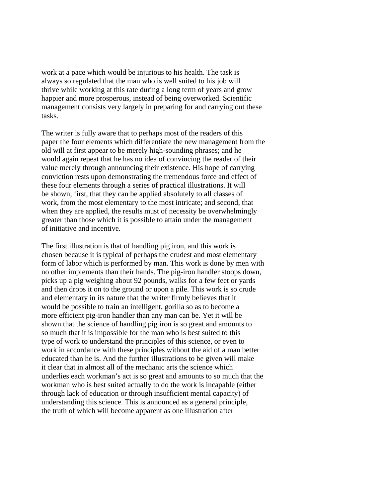work at a pace which would be injurious to his health. The task is always so regulated that the man who is well suited to his job will thrive while working at this rate during a long term of years and grow happier and more prosperous, instead of being overworked. Scientific management consists very largely in preparing for and carrying out these tasks.

The writer is fully aware that to perhaps most of the readers of this paper the four elements which differentiate the new management from the old will at first appear to be merely high-sounding phrases; and he would again repeat that he has no idea of convincing the reader of their value merely through announcing their existence. His hope of carrying conviction rests upon demonstrating the tremendous force and effect of these four elements through a series of practical illustrations. It will be shown, first, that they can be applied absolutely to all classes of work, from the most elementary to the most intricate; and second, that when they are applied, the results must of necessity be overwhelmingly greater than those which it is possible to attain under the management of initiative and incentive.

The first illustration is that of handling pig iron, and this work is chosen because it is typical of perhaps the crudest and most elementary form of labor which is performed by man. This work is done by men with no other implements than their hands. The pig-iron handler stoops down, picks up a pig weighing about 92 pounds, walks for a few feet or yards and then drops it on to the ground or upon a pile. This work is so crude and elementary in its nature that the writer firmly believes that it would be possible to train an intelligent, gorilla so as to become a more efficient pig-iron handler than any man can be. Yet it will be shown that the science of handling pig iron is so great and amounts to so much that it is impossible for the man who is best suited to this type of work to understand the principles of this science, or even to work in accordance with these principles without the aid of a man better educated than he is. And the further illustrations to be given will make it clear that in almost all of the mechanic arts the science which underlies each workman's act is so great and amounts to so much that the workman who is best suited actually to do the work is incapable (either through lack of education or through insufficient mental capacity) of understanding this science. This is announced as a general principle, the truth of which will become apparent as one illustration after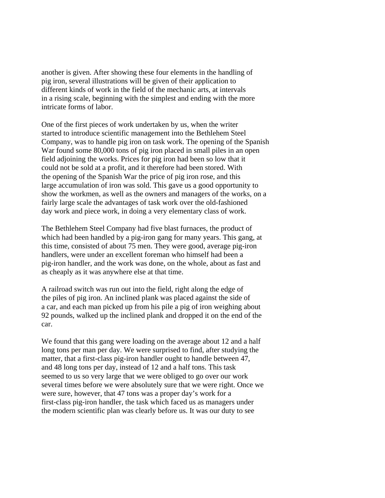another is given. After showing these four elements in the handling of pig iron, several illustrations will be given of their application to different kinds of work in the field of the mechanic arts, at intervals in a rising scale, beginning with the simplest and ending with the more intricate forms of labor.

One of the first pieces of work undertaken by us, when the writer started to introduce scientific management into the Bethlehem Steel Company, was to handle pig iron on task work. The opening of the Spanish War found some 80,000 tons of pig iron placed in small piles in an open field adjoining the works. Prices for pig iron had been so low that it could not be sold at a profit, and it therefore had been stored. With the opening of the Spanish War the price of pig iron rose, and this large accumulation of iron was sold. This gave us a good opportunity to show the workmen, as well as the owners and managers of the works, on a fairly large scale the advantages of task work over the old-fashioned day work and piece work, in doing a very elementary class of work.

The Bethlehem Steel Company had five blast furnaces, the product of which had been handled by a pig-iron gang for many years. This gang, at this time, consisted of about 75 men. They were good, average pig-iron handlers, were under an excellent foreman who himself had been a pig-iron handler, and the work was done, on the whole, about as fast and as cheaply as it was anywhere else at that time.

A railroad switch was run out into the field, right along the edge of the piles of pig iron. An inclined plank was placed against the side of a car, and each man picked up from his pile a pig of iron weighing about 92 pounds, walked up the inclined plank and dropped it on the end of the car.

We found that this gang were loading on the average about 12 and a half long tons per man per day. We were surprised to find, after studying the matter, that a first-class pig-iron handler ought to handle between 47, and 48 long tons per day, instead of 12 and a half tons. This task seemed to us so very large that we were obliged to go over our work several times before we were absolutely sure that we were right. Once we were sure, however, that 47 tons was a proper day's work for a first-class pig-iron handler, the task which faced us as managers under the modern scientific plan was clearly before us. It was our duty to see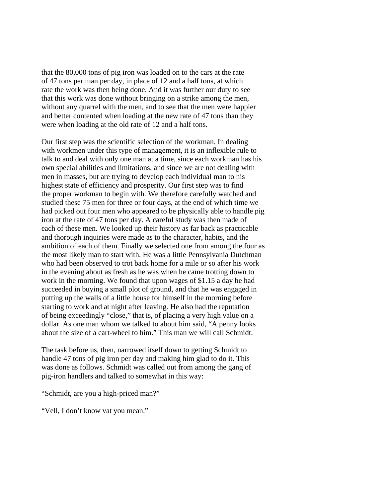that the 80,000 tons of pig iron was loaded on to the cars at the rate of 47 tons per man per day, in place of 12 and a half tons, at which rate the work was then being done. And it was further our duty to see that this work was done without bringing on a strike among the men, without any quarrel with the men, and to see that the men were happier and better contented when loading at the new rate of 47 tons than they were when loading at the old rate of 12 and a half tons.

Our first step was the scientific selection of the workman. In dealing with workmen under this type of management, it is an inflexible rule to talk to and deal with only one man at a time, since each workman has his own special abilities and limitations, and since we are not dealing with men in masses, but are trying to develop each individual man to his highest state of efficiency and prosperity. Our first step was to find the proper workman to begin with. We therefore carefully watched and studied these 75 men for three or four days, at the end of which time we had picked out four men who appeared to be physically able to handle pig iron at the rate of 47 tons per day. A careful study was then made of each of these men. We looked up their history as far back as practicable and thorough inquiries were made as to the character, habits, and the ambition of each of them. Finally we selected one from among the four as the most likely man to start with. He was a little Pennsylvania Dutchman who had been observed to trot back home for a mile or so after his work in the evening about as fresh as he was when he came trotting down to work in the morning. We found that upon wages of \$1.15 a day he had succeeded in buying a small plot of ground, and that he was engaged in putting up the walls of a little house for himself in the morning before starting to work and at night after leaving. He also had the reputation of being exceedingly "close," that is, of placing a very high value on a dollar. As one man whom we talked to about him said, "A penny looks about the size of a cart-wheel to him." This man we will call Schmidt.

The task before us, then, narrowed itself down to getting Schmidt to handle 47 tons of pig iron per day and making him glad to do it. This was done as follows. Schmidt was called out from among the gang of pig-iron handlers and talked to somewhat in this way:

"Schmidt, are you a high-priced man?"

"Vell, I don't know vat you mean."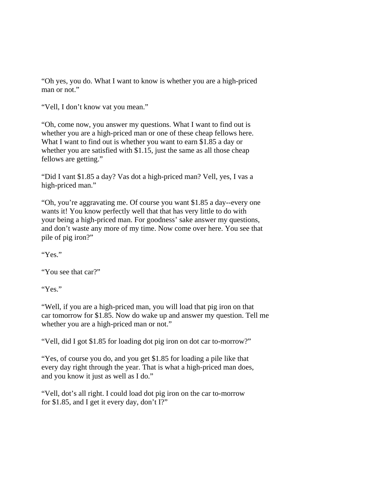"Oh yes, you do. What I want to know is whether you are a high-priced man or not."

"Vell, I don't know vat you mean."

"Oh, come now, you answer my questions. What I want to find out is whether you are a high-priced man or one of these cheap fellows here. What I want to find out is whether you want to earn \$1.85 a day or whether you are satisfied with \$1.15, just the same as all those cheap fellows are getting."

"Did I vant \$1.85 a day? Vas dot a high-priced man? Vell, yes, I vas a high-priced man."

"Oh, you're aggravating me. Of course you want \$1.85 a day--every one wants it! You know perfectly well that that has very little to do with your being a high-priced man. For goodness' sake answer my questions, and don't waste any more of my time. Now come over here. You see that pile of pig iron?"

"Yes."

"You see that car?"

"Yes."

"Well, if you are a high-priced man, you will load that pig iron on that car tomorrow for \$1.85. Now do wake up and answer my question. Tell me whether you are a high-priced man or not."

"Vell, did I got \$1.85 for loading dot pig iron on dot car to-morrow?"

"Yes, of course you do, and you get \$1.85 for loading a pile like that every day right through the year. That is what a high-priced man does, and you know it just as well as I do."

"Vell, dot's all right. I could load dot pig iron on the car to-morrow for \$1.85, and I get it every day, don't I?"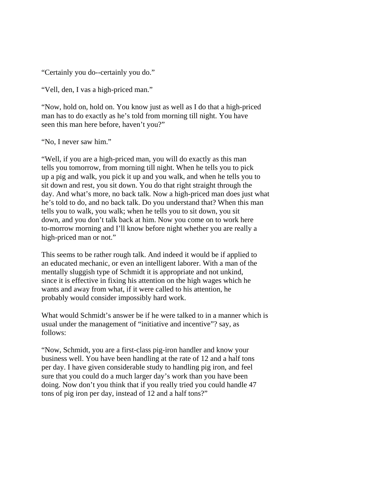"Certainly you do--certainly you do."

"Vell, den, I vas a high-priced man."

"Now, hold on, hold on. You know just as well as I do that a high-priced man has to do exactly as he's told from morning till night. You have seen this man here before, haven't you?"

"No, I never saw him."

"Well, if you are a high-priced man, you will do exactly as this man tells you tomorrow, from morning till night. When he tells you to pick up a pig and walk, you pick it up and you walk, and when he tells you to sit down and rest, you sit down. You do that right straight through the day. And what's more, no back talk. Now a high-priced man does just what he's told to do, and no back talk. Do you understand that? When this man tells you to walk, you walk; when he tells you to sit down, you sit down, and you don't talk back at him. Now you come on to work here to-morrow morning and I'll know before night whether you are really a high-priced man or not."

This seems to be rather rough talk. And indeed it would be if applied to an educated mechanic, or even an intelligent laborer. With a man of the mentally sluggish type of Schmidt it is appropriate and not unkind, since it is effective in fixing his attention on the high wages which he wants and away from what, if it were called to his attention, he probably would consider impossibly hard work.

What would Schmidt's answer be if he were talked to in a manner which is usual under the management of "initiative and incentive"? say, as follows:

"Now, Schmidt, you are a first-class pig-iron handler and know your business well. You have been handling at the rate of 12 and a half tons per day. I have given considerable study to handling pig iron, and feel sure that you could do a much larger day's work than you have been doing. Now don't you think that if you really tried you could handle 47 tons of pig iron per day, instead of 12 and a half tons?"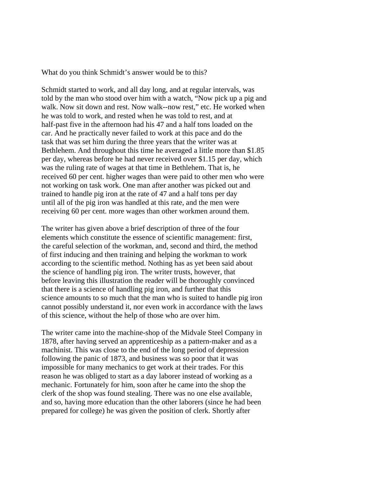What do you think Schmidt's answer would be to this?

Schmidt started to work, and all day long, and at regular intervals, was told by the man who stood over him with a watch, "Now pick up a pig and walk. Now sit down and rest. Now walk--now rest," etc. He worked when he was told to work, and rested when he was told to rest, and at half-past five in the afternoon had his 47 and a half tons loaded on the car. And he practically never failed to work at this pace and do the task that was set him during the three years that the writer was at Bethlehem. And throughout this time he averaged a little more than \$1.85 per day, whereas before he had never received over \$1.15 per day, which was the ruling rate of wages at that time in Bethlehem. That is, he received 60 per cent. higher wages than were paid to other men who were not working on task work. One man after another was picked out and trained to handle pig iron at the rate of 47 and a half tons per day until all of the pig iron was handled at this rate, and the men were receiving 60 per cent. more wages than other workmen around them.

The writer has given above a brief description of three of the four elements which constitute the essence of scientific management: first, the careful selection of the workman, and, second and third, the method of first inducing and then training and helping the workman to work according to the scientific method. Nothing has as yet been said about the science of handling pig iron. The writer trusts, however, that before leaving this illustration the reader will be thoroughly convinced that there is a science of handling pig iron, and further that this science amounts to so much that the man who is suited to handle pig iron cannot possibly understand it, nor even work in accordance with the laws of this science, without the help of those who are over him.

The writer came into the machine-shop of the Midvale Steel Company in 1878, after having served an apprenticeship as a pattern-maker and as a machinist. This was close to the end of the long period of depression following the panic of 1873, and business was so poor that it was impossible for many mechanics to get work at their trades. For this reason he was obliged to start as a day laborer instead of working as a mechanic. Fortunately for him, soon after he came into the shop the clerk of the shop was found stealing. There was no one else available, and so, having more education than the other laborers (since he had been prepared for college) he was given the position of clerk. Shortly after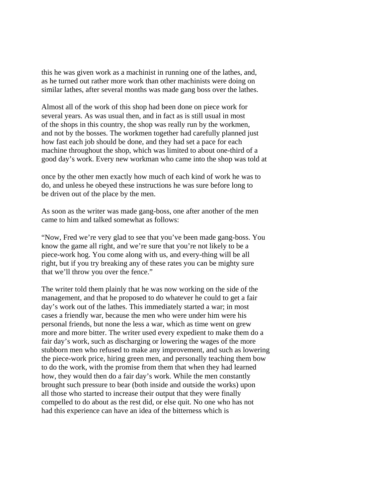this he was given work as a machinist in running one of the lathes, and, as he turned out rather more work than other machinists were doing on similar lathes, after several months was made gang boss over the lathes.

Almost all of the work of this shop had been done on piece work for several years. As was usual then, and in fact as is still usual in most of the shops in this country, the shop was really run by the workmen, and not by the bosses. The workmen together had carefully planned just how fast each job should be done, and they had set a pace for each machine throughout the shop, which was limited to about one-third of a good day's work. Every new workman who came into the shop was told at

once by the other men exactly how much of each kind of work he was to do, and unless he obeyed these instructions he was sure before long to be driven out of the place by the men.

As soon as the writer was made gang-boss, one after another of the men came to him and talked somewhat as follows:

"Now, Fred we're very glad to see that you've been made gang-boss. You know the game all right, and we're sure that you're not likely to be a piece-work hog. You come along with us, and every-thing will be all right, but if you try breaking any of these rates you can be mighty sure that we'll throw you over the fence."

The writer told them plainly that he was now working on the side of the management, and that he proposed to do whatever he could to get a fair day's work out of the lathes. This immediately started a war; in most cases a friendly war, because the men who were under him were his personal friends, but none the less a war, which as time went on grew more and more bitter. The writer used every expedient to make them do a fair day's work, such as discharging or lowering the wages of the more stubborn men who refused to make any improvement, and such as lowering the piece-work price, hiring green men, and personally teaching them bow to do the work, with the promise from them that when they had learned how, they would then do a fair day's work. While the men constantly brought such pressure to bear (both inside and outside the works) upon all those who started to increase their output that they were finally compelled to do about as the rest did, or else quit. No one who has not had this experience can have an idea of the bitterness which is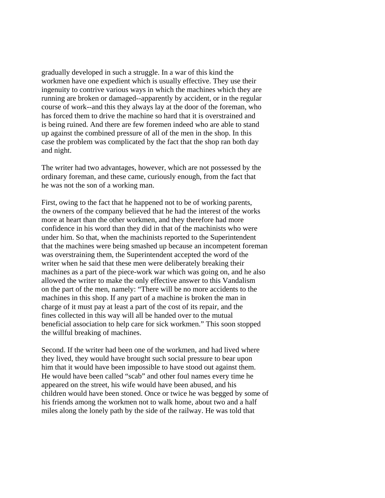gradually developed in such a struggle. In a war of this kind the workmen have one expedient which is usually effective. They use their ingenuity to contrive various ways in which the machines which they are running are broken or damaged--apparently by accident, or in the regular course of work--and this they always lay at the door of the foreman, who has forced them to drive the machine so hard that it is overstrained and is being ruined. And there are few foremen indeed who are able to stand up against the combined pressure of all of the men in the shop. In this case the problem was complicated by the fact that the shop ran both day and night.

The writer had two advantages, however, which are not possessed by the ordinary foreman, and these came, curiously enough, from the fact that he was not the son of a working man.

First, owing to the fact that he happened not to be of working parents, the owners of the company believed that he had the interest of the works more at heart than the other workmen, and they therefore had more confidence in his word than they did in that of the machinists who were under him. So that, when the machinists reported to the Superintendent that the machines were being smashed up because an incompetent foreman was overstraining them, the Superintendent accepted the word of the writer when he said that these men were deliberately breaking their machines as a part of the piece-work war which was going on, and he also allowed the writer to make the only effective answer to this Vandalism on the part of the men, namely: "There will be no more accidents to the machines in this shop. If any part of a machine is broken the man in charge of it must pay at least a part of the cost of its repair, and the fines collected in this way will all be handed over to the mutual beneficial association to help care for sick workmen." This soon stopped the willful breaking of machines.

Second. If the writer had been one of the workmen, and had lived where they lived, they would have brought such social pressure to bear upon him that it would have been impossible to have stood out against them. He would have been called "scab" and other foul names every time he appeared on the street, his wife would have been abused, and his children would have been stoned. Once or twice he was begged by some of his friends among the workmen not to walk home, about two and a half miles along the lonely path by the side of the railway. He was told that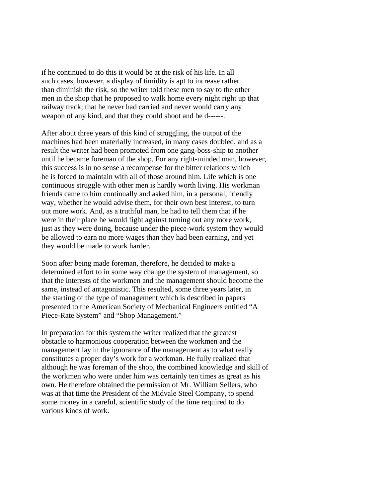if he continued to do this it would be at the risk of his life. In all such cases, however, a display of timidity is apt to increase rather than diminish the risk, so the writer told these men to say to the other men in the shop that he proposed to walk home every night right up that railway track; that he never had carried and never would carry any weapon of any kind, and that they could shoot and be d------.

After about three years of this kind of struggling, the output of the machines had been materially increased, in many cases doubled, and as a result the writer had been promoted from one gang-boss-ship to another until he became foreman of the shop. For any right-minded man, however, this success is in no sense a recompense for the bitter relations which he is forced to maintain with all of those around him. Life which is one continuous struggle with other men is hardly worth living. His workman friends came to him continually and asked him, in a personal, friendly way, whether he would advise them, for their own best interest, to turn out more work. And, as a truthful man, he had to tell them that if he were in their place he would fight against turning out any more work, just as they were doing, because under the piece-work system they would be allowed to earn no more wages than they had been earning, and yet they would be made to work harder.

Soon after being made foreman, therefore, he decided to make a determined effort to in some way change the system of management, so that the interests of the workmen and the management should become the same, instead of antagonistic. This resulted, some three years later, in the starting of the type of management which is described in papers presented to the American Society of Mechanical Engineers entitled "A Piece-Rate System" and "Shop Management."

In preparation for this system the writer realized that the greatest obstacle to harmonious cooperation between the workmen and the management lay in the ignorance of the management as to what really constitutes a proper day's work for a workman. He fully realized that although he was foreman of the shop, the combined knowledge and skill of the workmen who were under him was certainly ten times as great as his own. He therefore obtained the permission of Mr. William Sellers, who was at that time the President of the Midvale Steel Company, to spend some money in a careful, scientific study of the time required to do various kinds of work.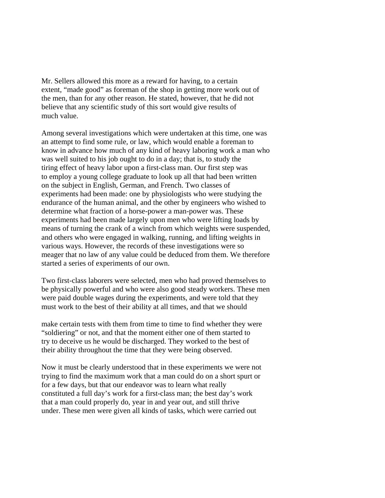Mr. Sellers allowed this more as a reward for having, to a certain extent, "made good" as foreman of the shop in getting more work out of the men, than for any other reason. He stated, however, that he did not believe that any scientific study of this sort would give results of much value.

Among several investigations which were undertaken at this time, one was an attempt to find some rule, or law, which would enable a foreman to know in advance how much of any kind of heavy laboring work a man who was well suited to his job ought to do in a day; that is, to study the tiring effect of heavy labor upon a first-class man. Our first step was to employ a young college graduate to look up all that had been written on the subject in English, German, and French. Two classes of experiments had been made: one by physiologists who were studying the endurance of the human animal, and the other by engineers who wished to determine what fraction of a horse-power a man-power was. These experiments had been made largely upon men who were lifting loads by means of turning the crank of a winch from which weights were suspended, and others who were engaged in walking, running, and lifting weights in various ways. However, the records of these investigations were so meager that no law of any value could be deduced from them. We therefore started a series of experiments of our own.

Two first-class laborers were selected, men who had proved themselves to be physically powerful and who were also good steady workers. These men were paid double wages during the experiments, and were told that they must work to the best of their ability at all times, and that we should

make certain tests with them from time to time to find whether they were "soldiering" or not, and that the moment either one of them started to try to deceive us he would be discharged. They worked to the best of their ability throughout the time that they were being observed.

Now it must be clearly understood that in these experiments we were not trying to find the maximum work that a man could do on a short spurt or for a few days, but that our endeavor was to learn what really constituted a full day's work for a first-class man; the best day's work that a man could properly do, year in and year out, and still thrive under. These men were given all kinds of tasks, which were carried out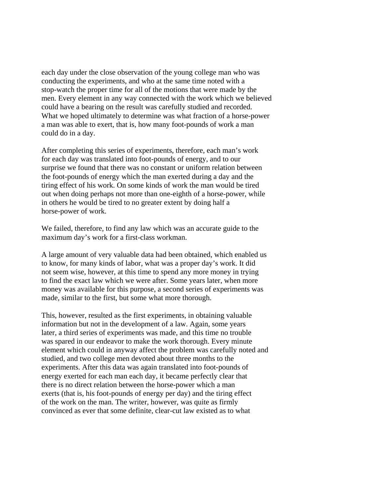each day under the close observation of the young college man who was conducting the experiments, and who at the same time noted with a stop-watch the proper time for all of the motions that were made by the men. Every element in any way connected with the work which we believed could have a bearing on the result was carefully studied and recorded. What we hoped ultimately to determine was what fraction of a horse-power a man was able to exert, that is, how many foot-pounds of work a man could do in a day.

After completing this series of experiments, therefore, each man's work for each day was translated into foot-pounds of energy, and to our surprise we found that there was no constant or uniform relation between the foot-pounds of energy which the man exerted during a day and the tiring effect of his work. On some kinds of work the man would be tired out when doing perhaps not more than one-eighth of a horse-power, while in others he would be tired to no greater extent by doing half a horse-power of work.

We failed, therefore, to find any law which was an accurate guide to the maximum day's work for a first-class workman.

A large amount of very valuable data had been obtained, which enabled us to know, for many kinds of labor, what was a proper day's work. It did not seem wise, however, at this time to spend any more money in trying to find the exact law which we were after. Some years later, when more money was available for this purpose, a second series of experiments was made, similar to the first, but some what more thorough.

This, however, resulted as the first experiments, in obtaining valuable information but not in the development of a law. Again, some years later, a third series of experiments was made, and this time no trouble was spared in our endeavor to make the work thorough. Every minute element which could in anyway affect the problem was carefully noted and studied, and two college men devoted about three months to the experiments. After this data was again translated into foot-pounds of energy exerted for each man each day, it became perfectly clear that there is no direct relation between the horse-power which a man exerts (that is, his foot-pounds of energy per day) and the tiring effect of the work on the man. The writer, however, was quite as firmly convinced as ever that some definite, clear-cut law existed as to what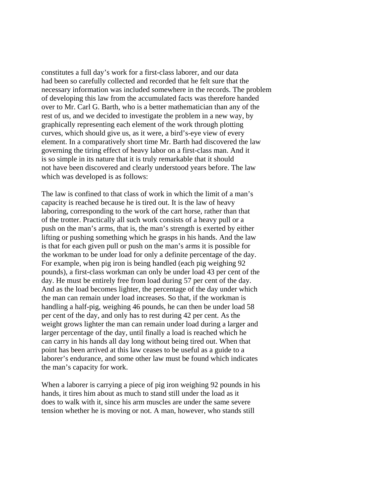constitutes a full day's work for a first-class laborer, and our data had been so carefully collected and recorded that he felt sure that the necessary information was included somewhere in the records. The problem of developing this law from the accumulated facts was therefore handed over to Mr. Carl G. Barth, who is a better mathematician than any of the rest of us, and we decided to investigate the problem in a new way, by graphically representing each element of the work through plotting curves, which should give us, as it were, a bird's-eye view of every element. In a comparatively short time Mr. Barth had discovered the law governing the tiring effect of heavy labor on a first-class man. And it is so simple in its nature that it is truly remarkable that it should not have been discovered and clearly understood years before. The law which was developed is as follows:

The law is confined to that class of work in which the limit of a man's capacity is reached because he is tired out. It is the law of heavy laboring, corresponding to the work of the cart horse, rather than that of the trotter. Practically all such work consists of a heavy pull or a push on the man's arms, that is, the man's strength is exerted by either lifting or pushing something which he grasps in his hands. And the law is that for each given pull or push on the man's arms it is possible for the workman to be under load for only a definite percentage of the day. For example, when pig iron is being handled (each pig weighing 92 pounds), a first-class workman can only be under load 43 per cent of the day. He must be entirely free from load during 57 per cent of the day. And as the load becomes lighter, the percentage of the day under which the man can remain under load increases. So that, if the workman is handling a half-pig, weighing 46 pounds, he can then be under load 58 per cent of the day, and only has to rest during 42 per cent. As the weight grows lighter the man can remain under load during a larger and larger percentage of the day, until finally a load is reached which he can carry in his hands all day long without being tired out. When that point has been arrived at this law ceases to be useful as a guide to a laborer's endurance, and some other law must be found which indicates the man's capacity for work.

When a laborer is carrying a piece of pig iron weighing 92 pounds in his hands, it tires him about as much to stand still under the load as it does to walk with it, since his arm muscles are under the same severe tension whether he is moving or not. A man, however, who stands still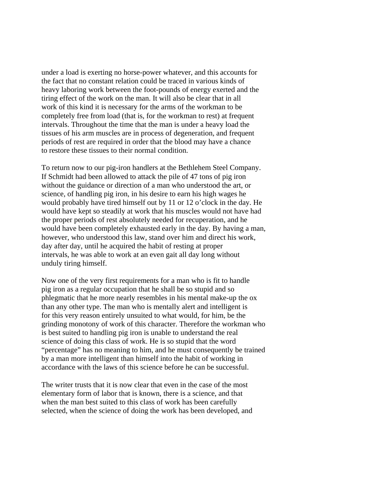under a load is exerting no horse-power whatever, and this accounts for the fact that no constant relation could be traced in various kinds of heavy laboring work between the foot-pounds of energy exerted and the tiring effect of the work on the man. It will also be clear that in all work of this kind it is necessary for the arms of the workman to be completely free from load (that is, for the workman to rest) at frequent intervals. Throughout the time that the man is under a heavy load the tissues of his arm muscles are in process of degeneration, and frequent periods of rest are required in order that the blood may have a chance to restore these tissues to their normal condition.

To return now to our pig-iron handlers at the Bethlehem Steel Company. If Schmidt had been allowed to attack the pile of 47 tons of pig iron without the guidance or direction of a man who understood the art, or science, of handling pig iron, in his desire to earn his high wages he would probably have tired himself out by 11 or 12 o'clock in the day. He would have kept so steadily at work that his muscles would not have had the proper periods of rest absolutely needed for recuperation, and he would have been completely exhausted early in the day. By having a man, however, who understood this law, stand over him and direct his work, day after day, until he acquired the habit of resting at proper intervals, he was able to work at an even gait all day long without unduly tiring himself.

Now one of the very first requirements for a man who is fit to handle pig iron as a regular occupation that he shall be so stupid and so phlegmatic that he more nearly resembles in his mental make-up the ox than any other type. The man who is mentally alert and intelligent is for this very reason entirely unsuited to what would, for him, be the grinding monotony of work of this character. Therefore the workman who is best suited to handling pig iron is unable to understand the real science of doing this class of work. He is so stupid that the word "percentage" has no meaning to him, and he must consequently be trained by a man more intelligent than himself into the habit of working in accordance with the laws of this science before he can be successful.

The writer trusts that it is now clear that even in the case of the most elementary form of labor that is known, there is a science, and that when the man best suited to this class of work has been carefully selected, when the science of doing the work has been developed, and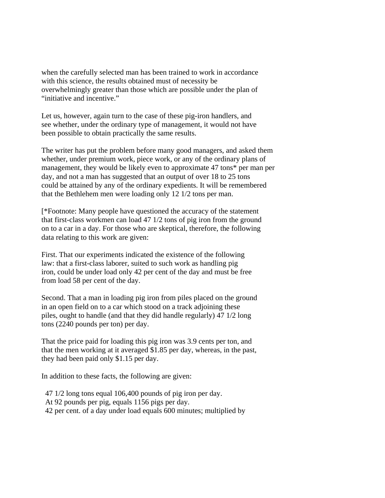when the carefully selected man has been trained to work in accordance with this science, the results obtained must of necessity be overwhelmingly greater than those which are possible under the plan of "initiative and incentive."

Let us, however, again turn to the case of these pig-iron handlers, and see whether, under the ordinary type of management, it would not have been possible to obtain practically the same results.

The writer has put the problem before many good managers, and asked them whether, under premium work, piece work, or any of the ordinary plans of management, they would be likely even to approximate 47 tons\* per man per day, and not a man has suggested that an output of over 18 to 25 tons could be attained by any of the ordinary expedients. It will be remembered that the Bethlehem men were loading only 12 1/2 tons per man.

[\*Footnote: Many people have questioned the accuracy of the statement that first-class workmen can load 47 1/2 tons of pig iron from the ground on to a car in a day. For those who are skeptical, therefore, the following data relating to this work are given:

First. That our experiments indicated the existence of the following law: that a first-class laborer, suited to such work as handling pig iron, could be under load only 42 per cent of the day and must be free from load 58 per cent of the day.

Second. That a man in loading pig iron from piles placed on the ground in an open field on to a car which stood on a track adjoining these piles, ought to handle (and that they did handle regularly) 47 1/2 long tons (2240 pounds per ton) per day.

That the price paid for loading this pig iron was 3.9 cents per ton, and that the men working at it averaged \$1.85 per day, whereas, in the past, they had been paid only \$1.15 per day.

In addition to these facts, the following are given:

- 47 1/2 long tons equal 106,400 pounds of pig iron per day.
- At 92 pounds per pig, equals 1156 pigs per day.
- 42 per cent. of a day under load equals 600 minutes; multiplied by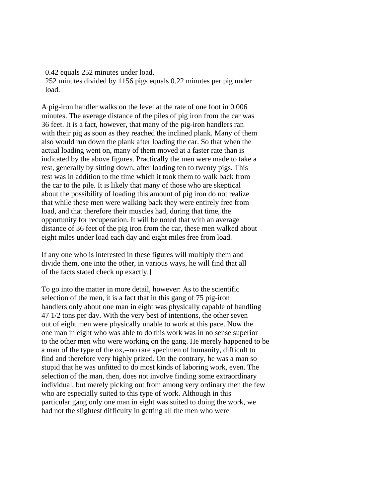0.42 equals 252 minutes under load. 252 minutes divided by 1156 pigs equals 0.22 minutes per pig under load.

A pig-iron handler walks on the level at the rate of one foot in 0.006 minutes. The average distance of the piles of pig iron from the car was 36 feet. It is a fact, however, that many of the pig-iron handlers ran with their pig as soon as they reached the inclined plank. Many of them also would run down the plank after loading the car. So that when the actual loading went on, many of them moved at a faster rate than is indicated by the above figures. Practically the men were made to take a rest, generally by sitting down, after loading ten to twenty pigs. This rest was in addition to the time which it took them to walk back from the car to the pile. It is likely that many of those who are skeptical about the possibility of loading this amount of pig iron do not realize that while these men were walking back they were entirely free from load, and that therefore their muscles had, during that time, the opportunity for recuperation. It will be noted that with an average distance of 36 feet of the pig iron from the car, these men walked about eight miles under load each day and eight miles free from load.

If any one who is interested in these figures will multiply them and divide them, one into the other, in various ways, he will find that all of the facts stated check up exactly.]

To go into the matter in more detail, however: As to the scientific selection of the men, it is a fact that in this gang of 75 pig-iron handlers only about one man in eight was physically capable of handling 47 1/2 tons per day. With the very best of intentions, the other seven out of eight men were physically unable to work at this pace. Now the one man in eight who was able to do this work was in no sense superior to the other men who were working on the gang. He merely happened to be a man of the type of the ox,--no rare specimen of humanity, difficult to find and therefore very highly prized. On the contrary, he was a man so stupid that he was unfitted to do most kinds of laboring work, even. The selection of the man, then, does not involve finding some extraordinary individual, but merely picking out from among very ordinary men the few who are especially suited to this type of work. Although in this particular gang only one man in eight was suited to doing the work, we had not the slightest difficulty in getting all the men who were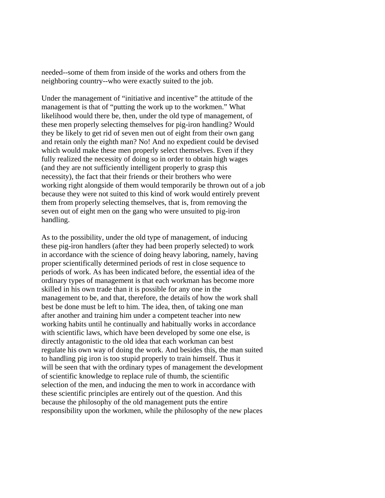needed--some of them from inside of the works and others from the neighboring country--who were exactly suited to the job.

Under the management of "initiative and incentive" the attitude of the management is that of "putting the work up to the workmen." What likelihood would there be, then, under the old type of management, of these men properly selecting themselves for pig-iron handling? Would they be likely to get rid of seven men out of eight from their own gang and retain only the eighth man? No! And no expedient could be devised which would make these men properly select themselves. Even if they fully realized the necessity of doing so in order to obtain high wages (and they are not sufficiently intelligent properly to grasp this necessity), the fact that their friends or their brothers who were working right alongside of them would temporarily be thrown out of a job because they were not suited to this kind of work would entirely prevent them from properly selecting themselves, that is, from removing the seven out of eight men on the gang who were unsuited to pig-iron handling.

As to the possibility, under the old type of management, of inducing these pig-iron handlers (after they had been properly selected) to work in accordance with the science of doing heavy laboring, namely, having proper scientifically determined periods of rest in close sequence to periods of work. As has been indicated before, the essential idea of the ordinary types of management is that each workman has become more skilled in his own trade than it is possible for any one in the management to be, and that, therefore, the details of how the work shall best be done must be left to him. The idea, then, of taking one man after another and training him under a competent teacher into new working habits until he continually and habitually works in accordance with scientific laws, which have been developed by some one else, is directly antagonistic to the old idea that each workman can best regulate his own way of doing the work. And besides this, the man suited to handling pig iron is too stupid properly to train himself. Thus it will be seen that with the ordinary types of management the development of scientific knowledge to replace rule of thumb, the scientific selection of the men, and inducing the men to work in accordance with these scientific principles are entirely out of the question. And this because the philosophy of the old management puts the entire responsibility upon the workmen, while the philosophy of the new places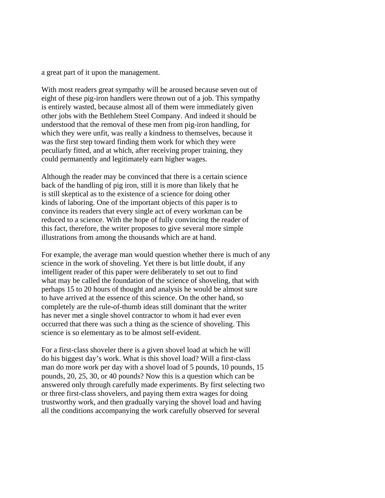a great part of it upon the management.

With most readers great sympathy will be aroused because seven out of eight of these pig-iron handlers were thrown out of a job. This sympathy is entirely wasted, because almost all of them were immediately given other jobs with the Bethlehem Steel Company. And indeed it should be understood that the removal of these men from pig-iron handling, for which they were unfit, was really a kindness to themselves, because it was the first step toward finding them work for which they were peculiarly fitted, and at which, after receiving proper training, they could permanently and legitimately earn higher wages.

Although the reader may be convinced that there is a certain science back of the handling of pig iron, still it is more than likely that he is still skeptical as to the existence of a science for doing other kinds of laboring. One of the important objects of this paper is to convince its readers that every single act of every workman can be reduced to a science. With the hope of fully convincing the reader of this fact, therefore, the writer proposes to give several more simple illustrations from among the thousands which are at hand.

For example, the average man would question whether there is much of any science in the work of shoveling. Yet there is but little doubt, if any intelligent reader of this paper were deliberately to set out to find what may be called the foundation of the science of shoveling, that with perhaps 15 to 20 hours of thought and analysis he would be almost sure to have arrived at the essence of this science. On the other hand, so completely are the rule-of-thumb ideas still dominant that the writer has never met a single shovel contractor to whom it had ever even occurred that there was such a thing as the science of shoveling. This science is so elementary as to be almost self-evident.

For a first-class shoveler there is a given shovel load at which he will do his biggest day's work. What is this shovel load? Will a first-class man do more work per day with a shovel load of 5 pounds, 10 pounds, 15 pounds, 20, 25, 30, or 40 pounds? Now this is a question which can be answered only through carefully made experiments. By first selecting two or three first-class shovelers, and paying them extra wages for doing trustworthy work, and then gradually varying the shovel load and having all the conditions accompanying the work carefully observed for several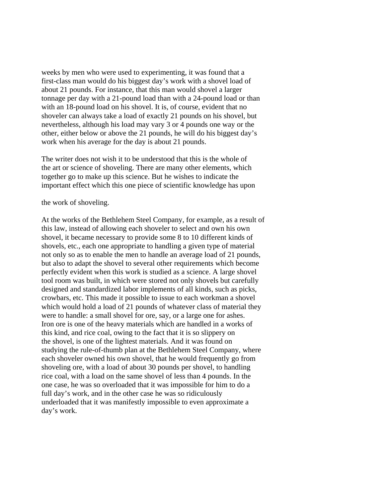weeks by men who were used to experimenting, it was found that a first-class man would do his biggest day's work with a shovel load of about 21 pounds. For instance, that this man would shovel a larger tonnage per day with a 21-pound load than with a 24-pound load or than with an 18-pound load on his shovel. It is, of course, evident that no shoveler can always take a load of exactly 21 pounds on his shovel, but nevertheless, although his load may vary 3 or 4 pounds one way or the other, either below or above the 21 pounds, he will do his biggest day's work when his average for the day is about 21 pounds.

The writer does not wish it to be understood that this is the whole of the art or science of shoveling. There are many other elements, which together go to make up this science. But he wishes to indicate the important effect which this one piece of scientific knowledge has upon

the work of shoveling.

At the works of the Bethlehem Steel Company, for example, as a result of this law, instead of allowing each shoveler to select and own his own shovel, it became necessary to provide some 8 to 10 different kinds of shovels, etc., each one appropriate to handling a given type of material not only so as to enable the men to handle an average load of 21 pounds, but also to adapt the shovel to several other requirements which become perfectly evident when this work is studied as a science. A large shovel tool room was built, in which were stored not only shovels but carefully designed and standardized labor implements of all kinds, such as picks, crowbars, etc. This made it possible to issue to each workman a shovel which would hold a load of 21 pounds of whatever class of material they were to handle: a small shovel for ore, say, or a large one for ashes. Iron ore is one of the heavy materials which are handled in a works of this kind, and rice coal, owing to the fact that it is so slippery on the shovel, is one of the lightest materials. And it was found on studying the rule-of-thumb plan at the Bethlehem Steel Company, where each shoveler owned his own shovel, that he would frequently go from shoveling ore, with a load of about 30 pounds per shovel, to handling rice coal, with a load on the same shovel of less than 4 pounds. In the one case, he was so overloaded that it was impossible for him to do a full day's work, and in the other case he was so ridiculously underloaded that it was manifestly impossible to even approximate a day's work.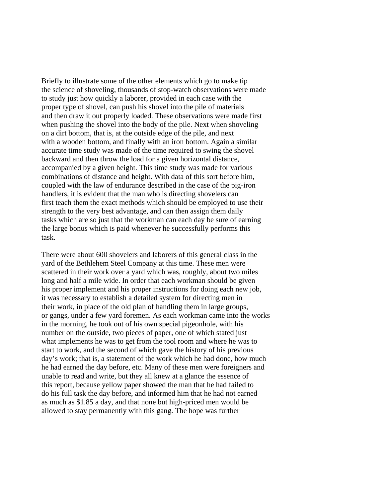Briefly to illustrate some of the other elements which go to make tip the science of shoveling, thousands of stop-watch observations were made to study just how quickly a laborer, provided in each case with the proper type of shovel, can push his shovel into the pile of materials and then draw it out properly loaded. These observations were made first when pushing the shovel into the body of the pile. Next when shoveling on a dirt bottom, that is, at the outside edge of the pile, and next with a wooden bottom, and finally with an iron bottom. Again a similar accurate time study was made of the time required to swing the shovel backward and then throw the load for a given horizontal distance, accompanied by a given height. This time study was made for various combinations of distance and height. With data of this sort before him, coupled with the law of endurance described in the case of the pig-iron handlers, it is evident that the man who is directing shovelers can first teach them the exact methods which should be employed to use their strength to the very best advantage, and can then assign them daily tasks which are so just that the workman can each day be sure of earning the large bonus which is paid whenever he successfully performs this task.

There were about 600 shovelers and laborers of this general class in the yard of the Bethlehem Steel Company at this time. These men were scattered in their work over a yard which was, roughly, about two miles long and half a mile wide. In order that each workman should be given his proper implement and his proper instructions for doing each new job, it was necessary to establish a detailed system for directing men in their work, in place of the old plan of handling them in large groups, or gangs, under a few yard foremen. As each workman came into the works in the morning, he took out of his own special pigeonhole, with his number on the outside, two pieces of paper, one of which stated just what implements he was to get from the tool room and where he was to start to work, and the second of which gave the history of his previous day's work; that is, a statement of the work which he had done, how much he had earned the day before, etc. Many of these men were foreigners and unable to read and write, but they all knew at a glance the essence of this report, because yellow paper showed the man that he had failed to do his full task the day before, and informed him that he had not earned as much as \$1.85 a day, and that none but high-priced men would be allowed to stay permanently with this gang. The hope was further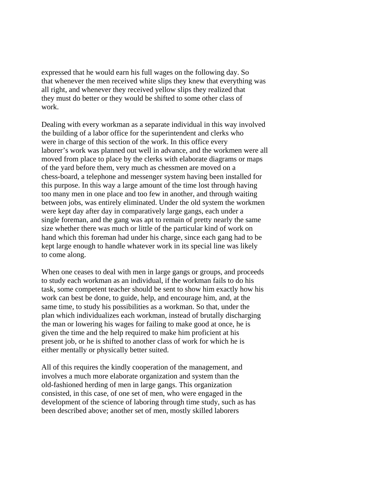expressed that he would earn his full wages on the following day. So that whenever the men received white slips they knew that everything was all right, and whenever they received yellow slips they realized that they must do better or they would be shifted to some other class of work.

Dealing with every workman as a separate individual in this way involved the building of a labor office for the superintendent and clerks who were in charge of this section of the work. In this office every laborer's work was planned out well in advance, and the workmen were all moved from place to place by the clerks with elaborate diagrams or maps of the yard before them, very much as chessmen are moved on a chess-board, a telephone and messenger system having been installed for this purpose. In this way a large amount of the time lost through having too many men in one place and too few in another, and through waiting between jobs, was entirely eliminated. Under the old system the workmen were kept day after day in comparatively large gangs, each under a single foreman, and the gang was apt to remain of pretty nearly the same size whether there was much or little of the particular kind of work on hand which this foreman had under his charge, since each gang had to be kept large enough to handle whatever work in its special line was likely to come along.

When one ceases to deal with men in large gangs or groups, and proceeds to study each workman as an individual, if the workman fails to do his task, some competent teacher should be sent to show him exactly how his work can best be done, to guide, help, and encourage him, and, at the same time, to study his possibilities as a workman. So that, under the plan which individualizes each workman, instead of brutally discharging the man or lowering his wages for failing to make good at once, he is given the time and the help required to make him proficient at his present job, or he is shifted to another class of work for which he is either mentally or physically better suited.

All of this requires the kindly cooperation of the management, and involves a much more elaborate organization and system than the old-fashioned herding of men in large gangs. This organization consisted, in this case, of one set of men, who were engaged in the development of the science of laboring through time study, such as has been described above; another set of men, mostly skilled laborers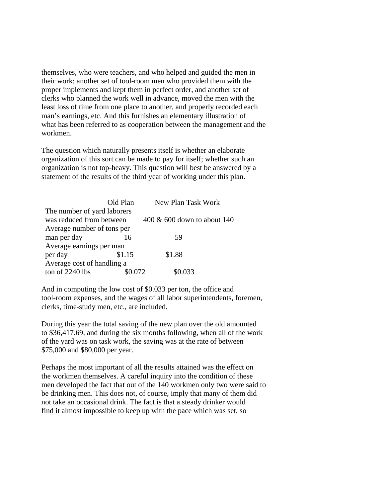themselves, who were teachers, and who helped and guided the men in their work; another set of tool-room men who provided them with the proper implements and kept them in perfect order, and another set of clerks who planned the work well in advance, moved the men with the least loss of time from one place to another, and properly recorded each man's earnings, etc. And this furnishes an elementary illustration of what has been referred to as cooperation between the management and the workmen.

The question which naturally presents itself is whether an elaborate organization of this sort can be made to pay for itself; whether such an organization is not top-heavy. This question will best be answered by a statement of the results of the third year of working under this plan.

|                             | Old Plan | New Plan Task Work             |
|-----------------------------|----------|--------------------------------|
| The number of yard laborers |          |                                |
| was reduced from between    |          | $400 \& 600$ down to about 140 |
| Average number of tons per  |          |                                |
| man per day                 | 16       | 59                             |
| Average earnings per man    |          |                                |
| per day                     | \$1.15   | \$1.88                         |
| Average cost of handling a  |          |                                |
| ton of 2240 lbs             | በ በ72    | ) 033                          |

And in computing the low cost of \$0.033 per ton, the office and tool-room expenses, and the wages of all labor superintendents, foremen, clerks, time-study men, etc., are included.

During this year the total saving of the new plan over the old amounted to \$36,417.69, and during the six months following, when all of the work of the yard was on task work, the saving was at the rate of between \$75,000 and \$80,000 per year.

Perhaps the most important of all the results attained was the effect on the workmen themselves. A careful inquiry into the condition of these men developed the fact that out of the 140 workmen only two were said to be drinking men. This does not, of course, imply that many of them did not take an occasional drink. The fact is that a steady drinker would find it almost impossible to keep up with the pace which was set, so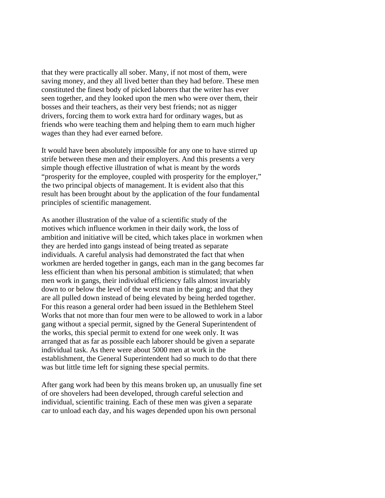that they were practically all sober. Many, if not most of them, were saving money, and they all lived better than they had before. These men constituted the finest body of picked laborers that the writer has ever seen together, and they looked upon the men who were over them, their bosses and their teachers, as their very best friends; not as nigger drivers, forcing them to work extra hard for ordinary wages, but as friends who were teaching them and helping them to earn much higher wages than they had ever earned before.

It would have been absolutely impossible for any one to have stirred up strife between these men and their employers. And this presents a very simple though effective illustration of what is meant by the words "prosperity for the employee, coupled with prosperity for the employer," the two principal objects of management. It is evident also that this result has been brought about by the application of the four fundamental principles of scientific management.

As another illustration of the value of a scientific study of the motives which influence workmen in their daily work, the loss of ambition and initiative will be cited, which takes place in workmen when they are herded into gangs instead of being treated as separate individuals. A careful analysis had demonstrated the fact that when workmen are herded together in gangs, each man in the gang becomes far less efficient than when his personal ambition is stimulated; that when men work in gangs, their individual efficiency falls almost invariably down to or below the level of the worst man in the gang; and that they are all pulled down instead of being elevated by being herded together. For this reason a general order had been issued in the Bethlehem Steel Works that not more than four men were to be allowed to work in a labor gang without a special permit, signed by the General Superintendent of the works, this special permit to extend for one week only. It was arranged that as far as possible each laborer should be given a separate individual task. As there were about 5000 men at work in the establishment, the General Superintendent had so much to do that there was but little time left for signing these special permits.

After gang work had been by this means broken up, an unusually fine set of ore shovelers had been developed, through careful selection and individual, scientific training. Each of these men was given a separate car to unload each day, and his wages depended upon his own personal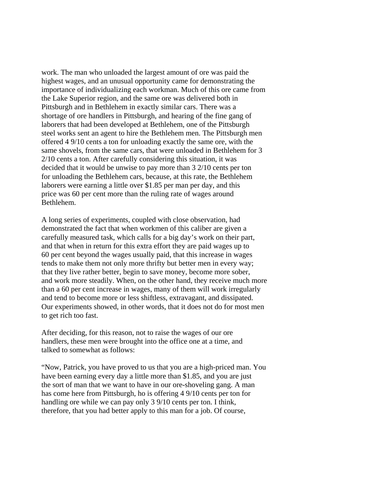work. The man who unloaded the largest amount of ore was paid the highest wages, and an unusual opportunity came for demonstrating the importance of individualizing each workman. Much of this ore came from the Lake Superior region, and the same ore was delivered both in Pittsburgh and in Bethlehem in exactly similar cars. There was a shortage of ore handlers in Pittsburgh, and hearing of the fine gang of laborers that had been developed at Bethlehem, one of the Pittsburgh steel works sent an agent to hire the Bethlehem men. The Pittsburgh men offered 4 9/10 cents a ton for unloading exactly the same ore, with the same shovels, from the same cars, that were unloaded in Bethlehem for 3 2/10 cents a ton. After carefully considering this situation, it was decided that it would be unwise to pay more than 3 2/10 cents per ton for unloading the Bethlehem cars, because, at this rate, the Bethlehem laborers were earning a little over \$1.85 per man per day, and this price was 60 per cent more than the ruling rate of wages around Bethlehem.

A long series of experiments, coupled with close observation, had demonstrated the fact that when workmen of this caliber are given a carefully measured task, which calls for a big day's work on their part, and that when in return for this extra effort they are paid wages up to 60 per cent beyond the wages usually paid, that this increase in wages tends to make them not only more thrifty but better men in every way; that they live rather better, begin to save money, become more sober, and work more steadily. When, on the other hand, they receive much more than a 60 per cent increase in wages, many of them will work irregularly and tend to become more or less shiftless, extravagant, and dissipated. Our experiments showed, in other words, that it does not do for most men to get rich too fast.

After deciding, for this reason, not to raise the wages of our ore handlers, these men were brought into the office one at a time, and talked to somewhat as follows:

"Now, Patrick, you have proved to us that you are a high-priced man. You have been earning every day a little more than \$1.85, and you are just the sort of man that we want to have in our ore-shoveling gang. A man has come here from Pittsburgh, ho is offering 4 9/10 cents per ton for handling ore while we can pay only 3 9/10 cents per ton. I think, therefore, that you had better apply to this man for a job. Of course,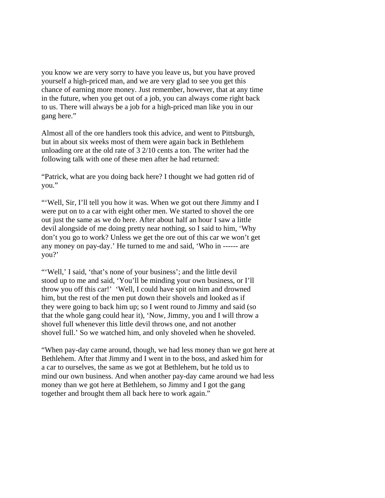you know we are very sorry to have you leave us, but you have proved yourself a high-priced man, and we are very glad to see you get this chance of earning more money. Just remember, however, that at any time in the future, when you get out of a job, you can always come right back to us. There will always be a job for a high-priced man like you in our gang here."

Almost all of the ore handlers took this advice, and went to Pittsburgh, but in about six weeks most of them were again back in Bethlehem unloading ore at the old rate of 3 2/10 cents a ton. The writer had the following talk with one of these men after he had returned:

"Patrick, what are you doing back here? I thought we had gotten rid of you."

"'Well, Sir, I'll tell you how it was. When we got out there Jimmy and I were put on to a car with eight other men. We started to shovel the ore out just the same as we do here. After about half an hour I saw a little devil alongside of me doing pretty near nothing, so I said to him, 'Why don't you go to work? Unless we get the ore out of this car we won't get any money on pay-day.' He turned to me and said, 'Who in ------ are you?'

"'Well,' I said, 'that's none of your business'; and the little devil stood up to me and said, 'You'll be minding your own business, or I'll throw you off this car!' 'Well, I could have spit on him and drowned him, but the rest of the men put down their shovels and looked as if they were going to back him up; so I went round to Jimmy and said (so that the whole gang could hear it), 'Now, Jimmy, you and I will throw a shovel full whenever this little devil throws one, and not another shovel full.' So we watched him, and only shoveled when he shoveled.

"When pay-day came around, though, we had less money than we got here at Bethlehem. After that Jimmy and I went in to the boss, and asked him for a car to ourselves, the same as we got at Bethlehem, but he told us to mind our own business. And when another pay-day came around we had less money than we got here at Bethlehem, so Jimmy and I got the gang together and brought them all back here to work again."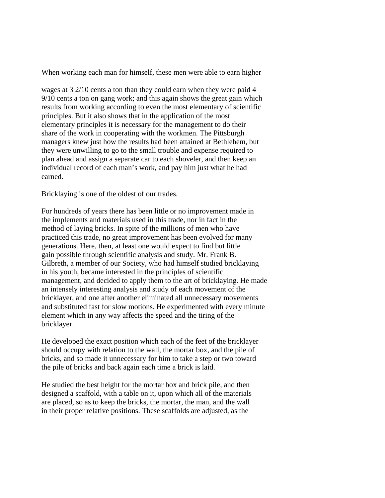When working each man for himself, these men were able to earn higher

wages at 3 2/10 cents a ton than they could earn when they were paid 4 9/10 cents a ton on gang work; and this again shows the great gain which results from working according to even the most elementary of scientific principles. But it also shows that in the application of the most elementary principles it is necessary for the management to do their share of the work in cooperating with the workmen. The Pittsburgh managers knew just how the results had been attained at Bethlehem, but they were unwilling to go to the small trouble and expense required to plan ahead and assign a separate car to each shoveler, and then keep an individual record of each man's work, and pay him just what he had earned.

Bricklaying is one of the oldest of our trades.

For hundreds of years there has been little or no improvement made in the implements and materials used in this trade, nor in fact in the method of laying bricks. In spite of the millions of men who have practiced this trade, no great improvement has been evolved for many generations. Here, then, at least one would expect to find but little gain possible through scientific analysis and study. Mr. Frank B. Gilbreth, a member of our Society, who had himself studied bricklaying in his youth, became interested in the principles of scientific management, and decided to apply them to the art of bricklaying. He made an intensely interesting analysis and study of each movement of the bricklayer, and one after another eliminated all unnecessary movements and substituted fast for slow motions. He experimented with every minute element which in any way affects the speed and the tiring of the bricklayer.

He developed the exact position which each of the feet of the bricklayer should occupy with relation to the wall, the mortar box, and the pile of bricks, and so made it unnecessary for him to take a step or two toward the pile of bricks and back again each time a brick is laid.

He studied the best height for the mortar box and brick pile, and then designed a scaffold, with a table on it, upon which all of the materials are placed, so as to keep the bricks, the mortar, the man, and the wall in their proper relative positions. These scaffolds are adjusted, as the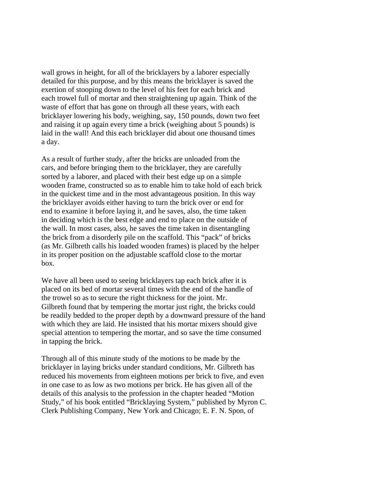wall grows in height, for all of the bricklayers by a laborer especially detailed for this purpose, and by this means the bricklayer is saved the exertion of stooping down to the level of his feet for each brick and each trowel full of mortar and then straightening up again. Think of the waste of effort that has gone on through all these years, with each bricklayer lowering his body, weighing, say, 150 pounds, down two feet and raising it up again every time a brick (weighing about 5 pounds) is laid in the wall! And this each bricklayer did about one thousand times a day.

As a result of further study, after the bricks are unloaded from the cars, and before bringing them to the bricklayer, they are carefully sorted by a laborer, and placed with their best edge up on a simple wooden frame, constructed so as to enable him to take hold of each brick in the quickest time and in the most advantageous position. In this way the bricklayer avoids either having to turn the brick over or end for end to examine it before laying it, and he saves, also, the time taken in deciding which is the best edge and end to place on the outside of the wall. In most cases, also, he saves the time taken in disentangling the brick from a disorderly pile on the scaffold. This "pack" of bricks (as Mr. Gilbreth calls his loaded wooden frames) is placed by the helper in its proper position on the adjustable scaffold close to the mortar box.

We have all been used to seeing bricklayers tap each brick after it is placed on its bed of mortar several times with the end of the handle of the trowel so as to secure the right thickness for the joint. Mr. Gilbreth found that by tempering the mortar just right, the bricks could be readily bedded to the proper depth by a downward pressure of the hand with which they are laid. He insisted that his mortar mixers should give special attention to tempering the mortar, and so save the time consumed in tapping the brick.

Through all of this minute study of the motions to be made by the bricklayer in laying bricks under standard conditions, Mr. Gilbreth has reduced his movements from eighteen motions per brick to five, and even in one case to as low as two motions per brick. He has given all of the details of this analysis to the profession in the chapter headed "Motion Study," of his book entitled "Bricklaying System," published by Myron C. Clerk Publishing Company, New York and Chicago; E. F. N. Spon, of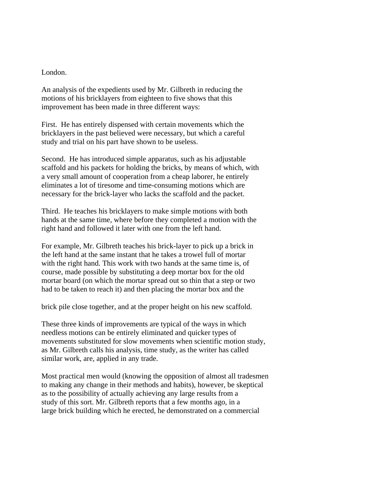## London.

An analysis of the expedients used by Mr. Gilbreth in reducing the motions of his bricklayers from eighteen to five shows that this improvement has been made in three different ways:

First. He has entirely dispensed with certain movements which the bricklayers in the past believed were necessary, but which a careful study and trial on his part have shown to be useless.

Second. He has introduced simple apparatus, such as his adjustable scaffold and his packets for holding the bricks, by means of which, with a very small amount of cooperation from a cheap laborer, he entirely eliminates a lot of tiresome and time-consuming motions which are necessary for the brick-layer who lacks the scaffold and the packet.

Third. He teaches his bricklayers to make simple motions with both hands at the same time, where before they completed a motion with the right hand and followed it later with one from the left hand.

For example, Mr. Gilbreth teaches his brick-layer to pick up a brick in the left hand at the same instant that he takes a trowel full of mortar with the right hand. This work with two hands at the same time is, of course, made possible by substituting a deep mortar box for the old mortar board (on which the mortar spread out so thin that a step or two had to be taken to reach it) and then placing the mortar box and the

brick pile close together, and at the proper height on his new scaffold.

These three kinds of improvements are typical of the ways in which needless motions can be entirely eliminated and quicker types of movements substituted for slow movements when scientific motion study, as Mr. Gilbreth calls his analysis, time study, as the writer has called similar work, are, applied in any trade.

Most practical men would (knowing the opposition of almost all tradesmen to making any change in their methods and habits), however, be skeptical as to the possibility of actually achieving any large results from a study of this sort. Mr. Gilbreth reports that a few months ago, in a large brick building which he erected, he demonstrated on a commercial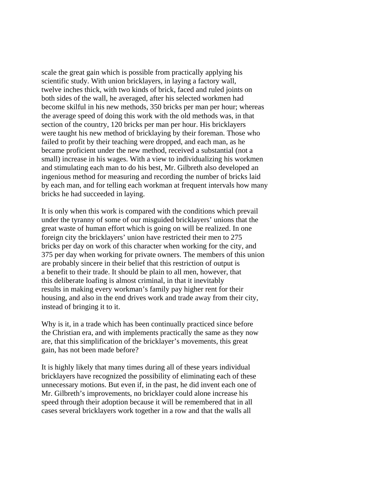scale the great gain which is possible from practically applying his scientific study. With union bricklayers, in laying a factory wall, twelve inches thick, with two kinds of brick, faced and ruled joints on both sides of the wall, he averaged, after his selected workmen had become skilful in his new methods, 350 bricks per man per hour; whereas the average speed of doing this work with the old methods was, in that section of the country, 120 bricks per man per hour. His bricklayers were taught his new method of bricklaying by their foreman. Those who failed to profit by their teaching were dropped, and each man, as he became proficient under the new method, received a substantial (not a small) increase in his wages. With a view to individualizing his workmen and stimulating each man to do his best, Mr. Gilbreth also developed an ingenious method for measuring and recording the number of bricks laid by each man, and for telling each workman at frequent intervals how many bricks he had succeeded in laying.

It is only when this work is compared with the conditions which prevail under the tyranny of some of our misguided bricklayers' unions that the great waste of human effort which is going on will be realized. In one foreign city the bricklayers' union have restricted their men to 275 bricks per day on work of this character when working for the city, and 375 per day when working for private owners. The members of this union are probably sincere in their belief that this restriction of output is a benefit to their trade. It should be plain to all men, however, that this deliberate loafing is almost criminal, in that it inevitably results in making every workman's family pay higher rent for their housing, and also in the end drives work and trade away from their city, instead of bringing it to it.

Why is it, in a trade which has been continually practiced since before the Christian era, and with implements practically the same as they now are, that this simplification of the bricklayer's movements, this great gain, has not been made before?

It is highly likely that many times during all of these years individual bricklayers have recognized the possibility of eliminating each of these unnecessary motions. But even if, in the past, he did invent each one of Mr. Gilbreth's improvements, no bricklayer could alone increase his speed through their adoption because it will be remembered that in all cases several bricklayers work together in a row and that the walls all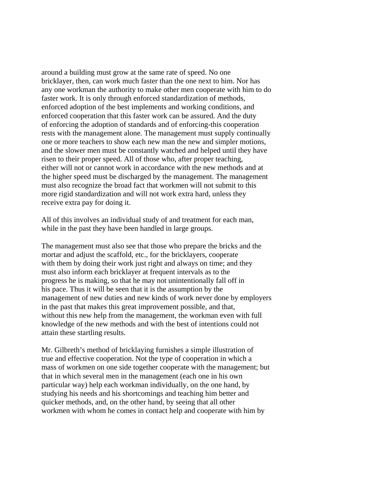around a building must grow at the same rate of speed. No one bricklayer, then, can work much faster than the one next to him. Nor has any one workman the authority to make other men cooperate with him to do faster work. It is only through enforced standardization of methods, enforced adoption of the best implements and working conditions, and enforced cooperation that this faster work can be assured. And the duty of enforcing the adoption of standards and of enforcing-this cooperation rests with the management alone. The management must supply continually one or more teachers to show each new man the new and simpler motions, and the slower men must be constantly watched and helped until they have risen to their proper speed. All of those who, after proper teaching, either will not or cannot work in accordance with the new methods and at the higher speed must be discharged by the management. The management must also recognize the broad fact that workmen will not submit to this more rigid standardization and will not work extra hard, unless they receive extra pay for doing it.

All of this involves an individual study of and treatment for each man, while in the past they have been handled in large groups.

The management must also see that those who prepare the bricks and the mortar and adjust the scaffold, etc., for the bricklayers, cooperate with them by doing their work just right and always on time; and they must also inform each bricklayer at frequent intervals as to the progress he is making, so that he may not unintentionally fall off in his pace. Thus it will be seen that it is the assumption by the management of new duties and new kinds of work never done by employers in the past that makes this great improvement possible, and that, without this new help from the management, the workman even with full knowledge of the new methods and with the best of intentions could not attain these startling results.

Mr. Gilbreth's method of bricklaying furnishes a simple illustration of true and effective cooperation. Not the type of cooperation in which a mass of workmen on one side together cooperate with the management; but that in which several men in the management (each one in his own particular way) help each workman individually, on the one hand, by studying his needs and his shortcomings and teaching him better and quicker methods, and, on the other hand, by seeing that all other workmen with whom he comes in contact help and cooperate with him by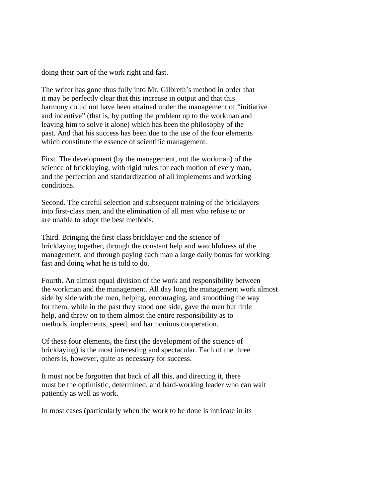doing their part of the work right and fast.

The writer has gone thus fully into Mr. Gilbreth's method in order that it may be perfectly clear that this increase in output and that this harmony could not have been attained under the management of "initiative and incentive" (that is, by putting the problem up to the workman and leaving him to solve it alone) which has been the philosophy of the past. And that his success has been due to the use of the four elements which constitute the essence of scientific management.

First. The development (by the management, not the workman) of the science of bricklaying, with rigid rules for each motion of every man, and the perfection and standardization of all implements and working conditions.

Second. The careful selection and subsequent training of the bricklayers into first-class men, and the elimination of all men who refuse to or are unable to adopt the best methods.

Third. Bringing the first-class bricklayer and the science of bricklaying together, through the constant help and watchfulness of the management, and through paying each man a large daily bonus for working fast and doing what he is told to do.

Fourth. An almost equal division of the work and responsibility between the workman and the management. All day long the management work almost side by side with the men, helping, encouraging, and smoothing the way for them, while in the past they stood one side, gave the men but little help, and threw on to them almost the entire responsibility as to methods, implements, speed, and harmonious cooperation.

Of these four elements, the first (the development of the science of bricklaying) is the most interesting and spectacular. Each of the three others is, however, quite as necessary for success.

It must not be forgotten that back of all this, and directing it, there must be the optimistic, determined, and hard-working leader who can wait patiently as well as work.

In most cases (particularly when the work to be done is intricate in its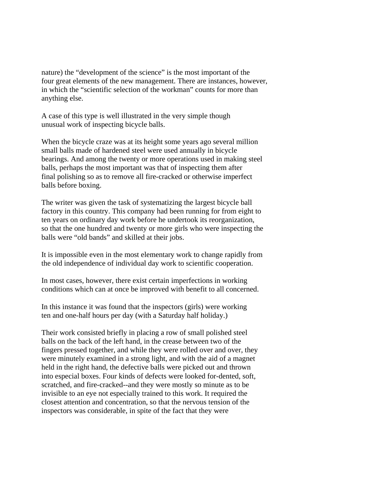nature) the "development of the science" is the most important of the four great elements of the new management. There are instances, however, in which the "scientific selection of the workman" counts for more than anything else.

A case of this type is well illustrated in the very simple though unusual work of inspecting bicycle balls.

When the bicycle craze was at its height some years ago several million small balls made of hardened steel were used annually in bicycle bearings. And among the twenty or more operations used in making steel balls, perhaps the most important was that of inspecting them after final polishing so as to remove all fire-cracked or otherwise imperfect balls before boxing.

The writer was given the task of systematizing the largest bicycle ball factory in this country. This company had been running for from eight to ten years on ordinary day work before he undertook its reorganization, so that the one hundred and twenty or more girls who were inspecting the balls were "old bands" and skilled at their jobs.

It is impossible even in the most elementary work to change rapidly from the old independence of individual day work to scientific cooperation.

In most cases, however, there exist certain imperfections in working conditions which can at once be improved with benefit to all concerned.

In this instance it was found that the inspectors (girls) were working ten and one-half hours per day (with a Saturday half holiday.)

Their work consisted briefly in placing a row of small polished steel balls on the back of the left hand, in the crease between two of the fingers pressed together, and while they were rolled over and over, they were minutely examined in a strong light, and with the aid of a magnet held in the right hand, the defective balls were picked out and thrown into especial boxes. Four kinds of defects were looked for-dented, soft, scratched, and fire-cracked--and they were mostly so minute as to be invisible to an eye not especially trained to this work. It required the closest attention and concentration, so that the nervous tension of the inspectors was considerable, in spite of the fact that they were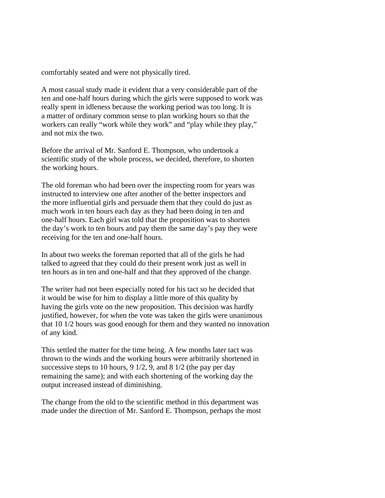comfortably seated and were not physically tired.

A most casual study made it evident that a very considerable part of the ten and one-half hours during which the girls were supposed to work was really spent in idleness because the working period was too long. It is a matter of ordinary common sense to plan working hours so that the workers can really "work while they work" and "play while they play," and not mix the two.

Before the arrival of Mr. Sanford E. Thompson, who undertook a scientific study of the whole process, we decided, therefore, to shorten the working hours.

The old foreman who had been over the inspecting room for years was instructed to interview one after another of the better inspectors and the more influential girls and persuade them that they could do just as much work in ten hours each day as they had been doing in ten and one-half hours. Each girl was told that the proposition was to shorten the day's work to ten hours and pay them the same day's pay they were receiving for the ten and one-half hours.

In about two weeks the foreman reported that all of the girls he had talked to agreed that they could do their present work just as well in ten hours as in ten and one-half and that they approved of the change.

The writer had not been especially noted for his tact so he decided that it would be wise for him to display a little more of this quality by having the girls vote on the new proposition. This decision was hardly justified, however, for when the vote was taken the girls were unanimous that 10 1/2 hours was good enough for them and they wanted no innovation of any kind.

This settled the matter for the time being. A few months later tact was thrown to the winds and the working hours were arbitrarily shortened in successive steps to 10 hours, 9 1/2, 9, and 8 1/2 (the pay per day remaining the same); and with each shortening of the working day the output increased instead of diminishing.

The change from the old to the scientific method in this department was made under the direction of Mr. Sanford E. Thompson, perhaps the most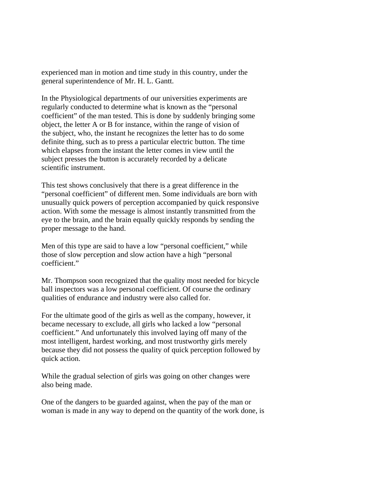experienced man in motion and time study in this country, under the general superintendence of Mr. H. L. Gantt.

In the Physiological departments of our universities experiments are regularly conducted to determine what is known as the "personal coefficient" of the man tested. This is done by suddenly bringing some object, the letter A or B for instance, within the range of vision of the subject, who, the instant he recognizes the letter has to do some definite thing, such as to press a particular electric button. The time which elapses from the instant the letter comes in view until the subject presses the button is accurately recorded by a delicate scientific instrument.

This test shows conclusively that there is a great difference in the "personal coefficient" of different men. Some individuals are born with unusually quick powers of perception accompanied by quick responsive action. With some the message is almost instantly transmitted from the eye to the brain, and the brain equally quickly responds by sending the proper message to the hand.

Men of this type are said to have a low "personal coefficient," while those of slow perception and slow action have a high "personal coefficient."

Mr. Thompson soon recognized that the quality most needed for bicycle ball inspectors was a low personal coefficient. Of course the ordinary qualities of endurance and industry were also called for.

For the ultimate good of the girls as well as the company, however, it became necessary to exclude, all girls who lacked a low "personal coefficient." And unfortunately this involved laying off many of the most intelligent, hardest working, and most trustworthy girls merely because they did not possess the quality of quick perception followed by quick action.

While the gradual selection of girls was going on other changes were also being made.

One of the dangers to be guarded against, when the pay of the man or woman is made in any way to depend on the quantity of the work done, is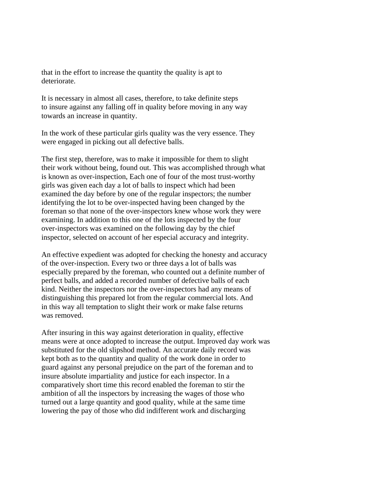that in the effort to increase the quantity the quality is apt to deteriorate.

It is necessary in almost all cases, therefore, to take definite steps to insure against any falling off in quality before moving in any way towards an increase in quantity.

In the work of these particular girls quality was the very essence. They were engaged in picking out all defective balls.

The first step, therefore, was to make it impossible for them to slight their work without being, found out. This was accomplished through what is known as over-inspection, Each one of four of the most trust-worthy girls was given each day a lot of balls to inspect which had been examined the day before by one of the regular inspectors; the number identifying the lot to be over-inspected having been changed by the foreman so that none of the over-inspectors knew whose work they were examining. In addition to this one of the lots inspected by the four over-inspectors was examined on the following day by the chief inspector, selected on account of her especial accuracy and integrity.

An effective expedient was adopted for checking the honesty and accuracy of the over-inspection. Every two or three days a lot of balls was especially prepared by the foreman, who counted out a definite number of perfect balls, and added a recorded number of defective balls of each kind. Neither the inspectors nor the over-inspectors had any means of distinguishing this prepared lot from the regular commercial lots. And in this way all temptation to slight their work or make false returns was removed.

After insuring in this way against deterioration in quality, effective means were at once adopted to increase the output. Improved day work was substituted for the old slipshod method. An accurate daily record was kept both as to the quantity and quality of the work done in order to guard against any personal prejudice on the part of the foreman and to insure absolute impartiality and justice for each inspector. In a comparatively short time this record enabled the foreman to stir the ambition of all the inspectors by increasing the wages of those who turned out a large quantity and good quality, while at the same time lowering the pay of those who did indifferent work and discharging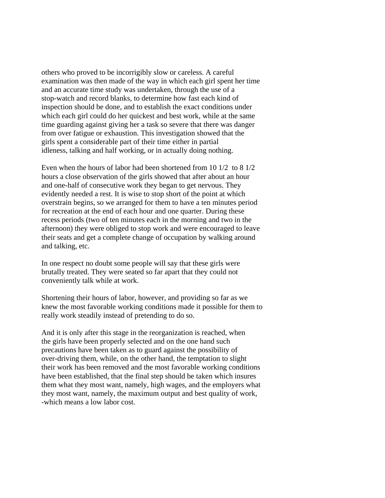others who proved to be incorrigibly slow or careless. A careful examination was then made of the way in which each girl spent her time and an accurate time study was undertaken, through the use of a stop-watch and record blanks, to determine how fast each kind of inspection should be done, and to establish the exact conditions under which each girl could do her quickest and best work, while at the same time guarding against giving her a task so severe that there was danger from over fatigue or exhaustion. This investigation showed that the girls spent a considerable part of their time either in partial idleness, talking and half working, or in actually doing nothing.

Even when the hours of labor had been shortened from 10 1/2 to 8 1/2 hours a close observation of the girls showed that after about an hour and one-half of consecutive work they began to get nervous. They evidently needed a rest. It is wise to stop short of the point at which overstrain begins, so we arranged for them to have a ten minutes period for recreation at the end of each hour and one quarter. During these recess periods (two of ten minutes each in the morning and two in the afternoon) they were obliged to stop work and were encouraged to leave their seats and get a complete change of occupation by walking around and talking, etc.

In one respect no doubt some people will say that these girls were brutally treated. They were seated so far apart that they could not conveniently talk while at work.

Shortening their hours of labor, however, and providing so far as we knew the most favorable working conditions made it possible for them to really work steadily instead of pretending to do so.

And it is only after this stage in the reorganization is reached, when the girls have been properly selected and on the one hand such precautions have been taken as to guard against the possibility of over-driving them, while, on the other hand, the temptation to slight their work has been removed and the most favorable working conditions have been established, that the final step should be taken which insures them what they most want, namely, high wages, and the employers what they most want, namely, the maximum output and best quality of work, -which means a low labor cost.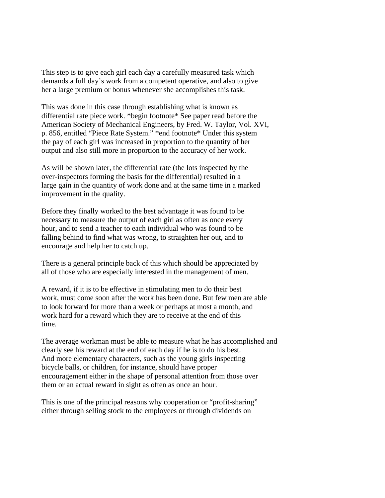This step is to give each girl each day a carefully measured task which demands a full day's work from a competent operative, and also to give her a large premium or bonus whenever she accomplishes this task.

This was done in this case through establishing what is known as differential rate piece work. \*begin footnote\* See paper read before the American Society of Mechanical Engineers, by Fred. W. Taylor, Vol. XVI, p. 856, entitled "Piece Rate System." \*end footnote\* Under this system the pay of each girl was increased in proportion to the quantity of her output and also still more in proportion to the accuracy of her work.

As will be shown later, the differential rate (the lots inspected by the over-inspectors forming the basis for the differential) resulted in a large gain in the quantity of work done and at the same time in a marked improvement in the quality.

Before they finally worked to the best advantage it was found to be necessary to measure the output of each girl as often as once every hour, and to send a teacher to each individual who was found to be falling behind to find what was wrong, to straighten her out, and to encourage and help her to catch up.

There is a general principle back of this which should be appreciated by all of those who are especially interested in the management of men.

A reward, if it is to be effective in stimulating men to do their best work, must come soon after the work has been done. But few men are able to look forward for more than a week or perhaps at most a month, and work hard for a reward which they are to receive at the end of this time.

The average workman must be able to measure what he has accomplished and clearly see his reward at the end of each day if he is to do his best. And more elementary characters, such as the young girls inspecting bicycle balls, or children, for instance, should have proper encouragement either in the shape of personal attention from those over them or an actual reward in sight as often as once an hour.

This is one of the principal reasons why cooperation or "profit-sharing" either through selling stock to the employees or through dividends on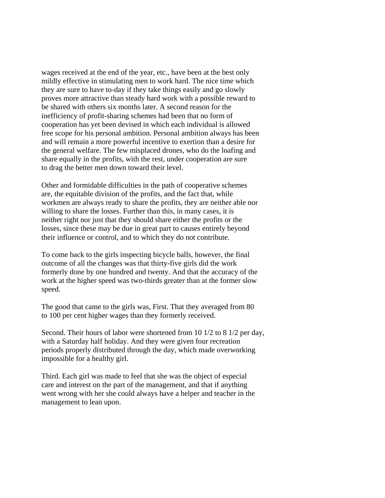wages received at the end of the year, etc., have been at the best only mildly effective in stimulating men to work hard. The nice time which they are sure to have to-day if they take things easily and go slowly proves more attractive than steady hard work with a possible reward to be shared with others six months later. A second reason for the inefficiency of profit-sharing schemes had been that no form of cooperation has yet been devised in which each individual is allowed free scope for his personal ambition. Personal ambition always has been and will remain a more powerful incentive to exertion than a desire for the general welfare. The few misplaced drones, who do the loafing and share equally in the profits, with the rest, under cooperation are sure to drag the better men down toward their level.

Other and formidable difficulties in the path of cooperative schemes are, the equitable division of the profits, and the fact that, while workmen are always ready to share the profits, they are neither able nor willing to share the losses. Further than this, in many cases, it is neither right nor just that they should share either the profits or the losses, since these may be due in great part to causes entirely beyond their influence or control, and to which they do not contribute.

To come back to the girls inspecting bicycle balls, however, the final outcome of all the changes was that thirty-five girls did the work formerly done by one hundred and twenty. And that the accuracy of the work at the higher speed was two-thirds greater than at the former slow speed.

The good that came to the girls was, First. That they averaged from 80 to 100 per cent higher wages than they formerly received.

Second. Their hours of labor were shortened from 10 1/2 to 8 1/2 per day, with a Saturday half holiday. And they were given four recreation periods properly distributed through the day, which made overworking impossible for a healthy girl.

Third. Each girl was made to feel that she was the object of especial care and interest on the part of the management, and that if anything went wrong with her she could always have a helper and teacher in the management to lean upon.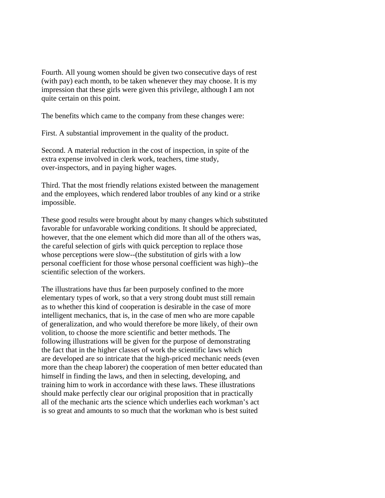Fourth. All young women should be given two consecutive days of rest (with pay) each month, to be taken whenever they may choose. It is my impression that these girls were given this privilege, although I am not quite certain on this point.

The benefits which came to the company from these changes were:

First. A substantial improvement in the quality of the product.

Second. A material reduction in the cost of inspection, in spite of the extra expense involved in clerk work, teachers, time study, over-inspectors, and in paying higher wages.

Third. That the most friendly relations existed between the management and the employees, which rendered labor troubles of any kind or a strike impossible.

These good results were brought about by many changes which substituted favorable for unfavorable working conditions. It should be appreciated, however, that the one element which did more than all of the others was, the careful selection of girls with quick perception to replace those whose perceptions were slow--(the substitution of girls with a low personal coefficient for those whose personal coefficient was high)--the scientific selection of the workers.

The illustrations have thus far been purposely confined to the more elementary types of work, so that a very strong doubt must still remain as to whether this kind of cooperation is desirable in the case of more intelligent mechanics, that is, in the case of men who are more capable of generalization, and who would therefore be more likely, of their own volition, to choose the more scientific and better methods. The following illustrations will be given for the purpose of demonstrating the fact that in the higher classes of work the scientific laws which are developed are so intricate that the high-priced mechanic needs (even more than the cheap laborer) the cooperation of men better educated than himself in finding the laws, and then in selecting, developing, and training him to work in accordance with these laws. These illustrations should make perfectly clear our original proposition that in practically all of the mechanic arts the science which underlies each workman's act is so great and amounts to so much that the workman who is best suited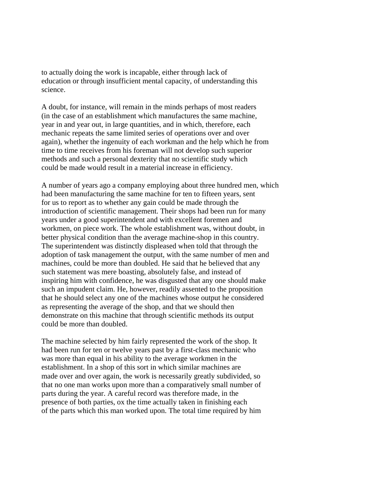to actually doing the work is incapable, either through lack of education or through insufficient mental capacity, of understanding this science.

A doubt, for instance, will remain in the minds perhaps of most readers (in the case of an establishment which manufactures the same machine, year in and year out, in large quantities, and in which, therefore, each mechanic repeats the same limited series of operations over and over again), whether the ingenuity of each workman and the help which he from time to time receives from his foreman will not develop such superior methods and such a personal dexterity that no scientific study which could be made would result in a material increase in efficiency.

A number of years ago a company employing about three hundred men, which had been manufacturing the same machine for ten to fifteen years, sent for us to report as to whether any gain could be made through the introduction of scientific management. Their shops had been run for many years under a good superintendent and with excellent foremen and workmen, on piece work. The whole establishment was, without doubt, in better physical condition than the average machine-shop in this country. The superintendent was distinctly displeased when told that through the adoption of task management the output, with the same number of men and machines, could be more than doubled. He said that he believed that any such statement was mere boasting, absolutely false, and instead of inspiring him with confidence, he was disgusted that any one should make such an impudent claim. He, however, readily assented to the proposition that he should select any one of the machines whose output he considered as representing the average of the shop, and that we should then demonstrate on this machine that through scientific methods its output could be more than doubled.

The machine selected by him fairly represented the work of the shop. It had been run for ten or twelve years past by a first-class mechanic who was more than equal in his ability to the average workmen in the establishment. In a shop of this sort in which similar machines are made over and over again, the work is necessarily greatly subdivided, so that no one man works upon more than a comparatively small number of parts during the year. A careful record was therefore made, in the presence of both parties, ox the time actually taken in finishing each of the parts which this man worked upon. The total time required by him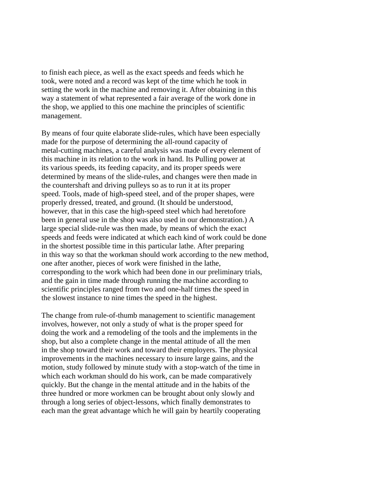to finish each piece, as well as the exact speeds and feeds which he took, were noted and a record was kept of the time which he took in setting the work in the machine and removing it. After obtaining in this way a statement of what represented a fair average of the work done in the shop, we applied to this one machine the principles of scientific management.

By means of four quite elaborate slide-rules, which have been especially made for the purpose of determining the all-round capacity of metal-cutting machines, a careful analysis was made of every element of this machine in its relation to the work in hand. Its Pulling power at its various speeds, its feeding capacity, and its proper speeds were determined by means of the slide-rules, and changes were then made in the countershaft and driving pulleys so as to run it at its proper speed. Tools, made of high-speed steel, and of the proper shapes, were properly dressed, treated, and ground. (It should be understood, however, that in this case the high-speed steel which had heretofore been in general use in the shop was also used in our demonstration.) A large special slide-rule was then made, by means of which the exact speeds and feeds were indicated at which each kind of work could be done in the shortest possible time in this particular lathe. After preparing in this way so that the workman should work according to the new method, one after another, pieces of work were finished in the lathe, corresponding to the work which had been done in our preliminary trials, and the gain in time made through running the machine according to scientific principles ranged from two and one-half times the speed in the slowest instance to nine times the speed in the highest.

The change from rule-of-thumb management to scientific management involves, however, not only a study of what is the proper speed for doing the work and a remodeling of the tools and the implements in the shop, but also a complete change in the mental attitude of all the men in the shop toward their work and toward their employers. The physical improvements in the machines necessary to insure large gains, and the motion, study followed by minute study with a stop-watch of the time in which each workman should do his work, can be made comparatively quickly. But the change in the mental attitude and in the habits of the three hundred or more workmen can be brought about only slowly and through a long series of object-lessons, which finally demonstrates to each man the great advantage which he will gain by heartily cooperating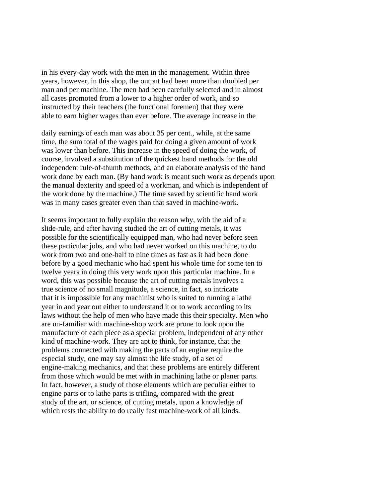in his every-day work with the men in the management. Within three years, however, in this shop, the output had been more than doubled per man and per machine. The men had been carefully selected and in almost all cases promoted from a lower to a higher order of work, and so instructed by their teachers (the functional foremen) that they were able to earn higher wages than ever before. The average increase in the

daily earnings of each man was about 35 per cent., while, at the same time, the sum total of the wages paid for doing a given amount of work was lower than before. This increase in the speed of doing the work, of course, involved a substitution of the quickest hand methods for the old independent rule-of-thumb methods, and an elaborate analysis of the hand work done by each man. (By hand work is meant such work as depends upon the manual dexterity and speed of a workman, and which is independent of the work done by the machine.) The time saved by scientific hand work was in many cases greater even than that saved in machine-work.

It seems important to fully explain the reason why, with the aid of a slide-rule, and after having studied the art of cutting metals, it was possible for the scientifically equipped man, who had never before seen these particular jobs, and who had never worked on this machine, to do work from two and one-half to nine times as fast as it had been done before by a good mechanic who had spent his whole time for some ten to twelve years in doing this very work upon this particular machine. In a word, this was possible because the art of cutting metals involves a true science of no small magnitude, a science, in fact, so intricate that it is impossible for any machinist who is suited to running a lathe year in and year out either to understand it or to work according to its laws without the help of men who have made this their specialty. Men who are un-familiar with machine-shop work are prone to look upon the manufacture of each piece as a special problem, independent of any other kind of machine-work. They are apt to think, for instance, that the problems connected with making the parts of an engine require the especial study, one may say almost the life study, of a set of engine-making mechanics, and that these problems are entirely different from those which would be met with in machining lathe or planer parts. In fact, however, a study of those elements which are peculiar either to engine parts or to lathe parts is trifling, compared with the great study of the art, or science, of cutting metals, upon a knowledge of which rests the ability to do really fast machine-work of all kinds.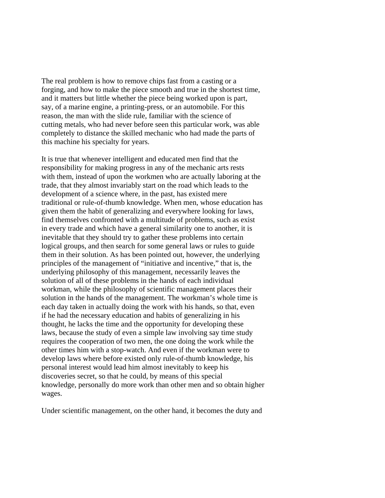The real problem is how to remove chips fast from a casting or a forging, and how to make the piece smooth and true in the shortest time, and it matters but little whether the piece being worked upon is part, say, of a marine engine, a printing-press, or an automobile. For this reason, the man with the slide rule, familiar with the science of cutting metals, who had never before seen this particular work, was able completely to distance the skilled mechanic who had made the parts of this machine his specialty for years.

It is true that whenever intelligent and educated men find that the responsibility for making progress in any of the mechanic arts rests with them, instead of upon the workmen who are actually laboring at the trade, that they almost invariably start on the road which leads to the development of a science where, in the past, has existed mere traditional or rule-of-thumb knowledge. When men, whose education has given them the habit of generalizing and everywhere looking for laws, find themselves confronted with a multitude of problems, such as exist in every trade and which have a general similarity one to another, it is inevitable that they should try to gather these problems into certain logical groups, and then search for some general laws or rules to guide them in their solution. As has been pointed out, however, the underlying principles of the management of "initiative and incentive," that is, the underlying philosophy of this management, necessarily leaves the solution of all of these problems in the hands of each individual workman, while the philosophy of scientific management places their solution in the hands of the management. The workman's whole time is each day taken in actually doing the work with his hands, so that, even if he had the necessary education and habits of generalizing in his thought, he lacks the time and the opportunity for developing these laws, because the study of even a simple law involving say time study requires the cooperation of two men, the one doing the work while the other times him with a stop-watch. And even if the workman were to develop laws where before existed only rule-of-thumb knowledge, his personal interest would lead him almost inevitably to keep his discoveries secret, so that he could, by means of this special knowledge, personally do more work than other men and so obtain higher wages.

Under scientific management, on the other hand, it becomes the duty and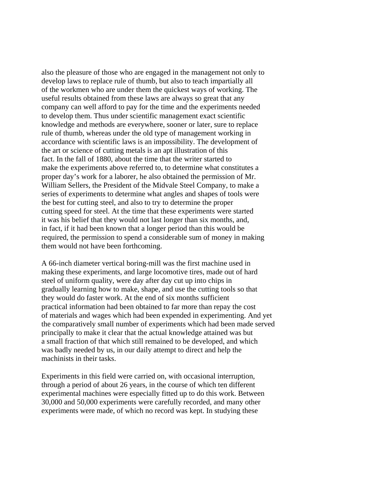also the pleasure of those who are engaged in the management not only to develop laws to replace rule of thumb, but also to teach impartially all of the workmen who are under them the quickest ways of working. The useful results obtained from these laws are always so great that any company can well afford to pay for the time and the experiments needed to develop them. Thus under scientific management exact scientific knowledge and methods are everywhere, sooner or later, sure to replace rule of thumb, whereas under the old type of management working in accordance with scientific laws is an impossibility. The development of the art or science of cutting metals is an apt illustration of this fact. In the fall of 1880, about the time that the writer started to make the experiments above referred to, to determine what constitutes a proper day's work for a laborer, he also obtained the permission of Mr. William Sellers, the President of the Midvale Steel Company, to make a series of experiments to determine what angles and shapes of tools were the best for cutting steel, and also to try to determine the proper cutting speed for steel. At the time that these experiments were started it was his belief that they would not last longer than six months, and, in fact, if it had been known that a longer period than this would be required, the permission to spend a considerable sum of money in making them would not have been forthcoming.

A 66-inch diameter vertical boring-mill was the first machine used in making these experiments, and large locomotive tires, made out of hard steel of uniform quality, were day after day cut up into chips in gradually learning how to make, shape, and use the cutting tools so that they would do faster work. At the end of six months sufficient practical information had been obtained to far more than repay the cost of materials and wages which had been expended in experimenting. And yet the comparatively small number of experiments which had been made served principally to make it clear that the actual knowledge attained was but a small fraction of that which still remained to be developed, and which was badly needed by us, in our daily attempt to direct and help the machinists in their tasks.

Experiments in this field were carried on, with occasional interruption, through a period of about 26 years, in the course of which ten different experimental machines were especially fitted up to do this work. Between 30,000 and 50,000 experiments were carefully recorded, and many other experiments were made, of which no record was kept. In studying these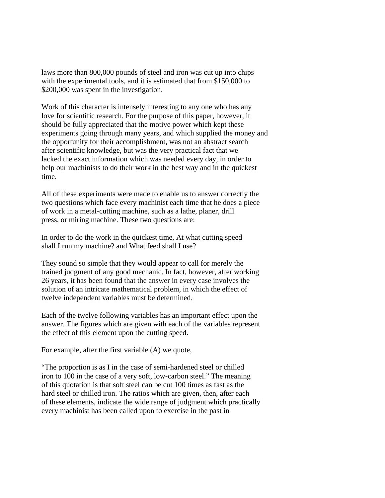laws more than 800,000 pounds of steel and iron was cut up into chips with the experimental tools, and it is estimated that from \$150,000 to \$200,000 was spent in the investigation.

Work of this character is intensely interesting to any one who has any love for scientific research. For the purpose of this paper, however, it should be fully appreciated that the motive power which kept these experiments going through many years, and which supplied the money and the opportunity for their accomplishment, was not an abstract search after scientific knowledge, but was the very practical fact that we lacked the exact information which was needed every day, in order to help our machinists to do their work in the best way and in the quickest time.

All of these experiments were made to enable us to answer correctly the two questions which face every machinist each time that he does a piece of work in a metal-cutting machine, such as a lathe, planer, drill press, or miring machine. These two questions are:

In order to do the work in the quickest time, At what cutting speed shall I run my machine? and What feed shall I use?

They sound so simple that they would appear to call for merely the trained judgment of any good mechanic. In fact, however, after working 26 years, it has been found that the answer in every case involves the solution of an intricate mathematical problem, in which the effect of twelve independent variables must be determined.

Each of the twelve following variables has an important effect upon the answer. The figures which are given with each of the variables represent the effect of this element upon the cutting speed.

For example, after the first variable (A) we quote,

"The proportion is as I in the case of semi-hardened steel or chilled iron to 100 in the case of a very soft, low-carbon steel." The meaning of this quotation is that soft steel can be cut 100 times as fast as the hard steel or chilled iron. The ratios which are given, then, after each of these elements, indicate the wide range of judgment which practically every machinist has been called upon to exercise in the past in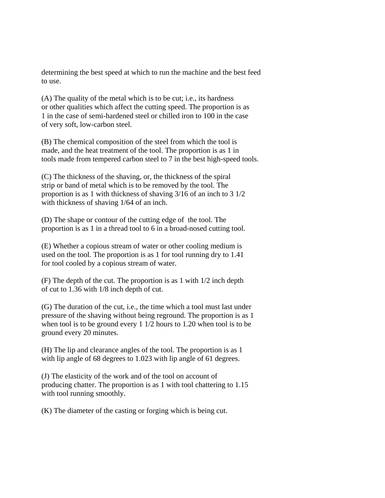determining the best speed at which to run the machine and the best feed to use.

(A) The quality of the metal which is to be cut; i.e., its hardness or other qualities which affect the cutting speed. The proportion is as 1 in the case of semi-hardened steel or chilled iron to 100 in the case of very soft, low-carbon steel.

(B) The chemical composition of the steel from which the tool is made, and the heat treatment of the tool. The proportion is as 1 in tools made from tempered carbon steel to 7 in the best high-speed tools.

(C) The thickness of the shaving, or, the thickness of the spiral strip or band of metal which is to be removed by the tool. The proportion is as 1 with thickness of shaving 3/16 of an inch to 3 1/2 with thickness of shaving 1/64 of an inch.

(D) The shape or contour of the cutting edge of the tool. The proportion is as 1 in a thread tool to 6 in a broad-nosed cutting tool.

(E) Whether a copious stream of water or other cooling medium is used on the tool. The proportion is as 1 for tool running dry to 1.41 for tool cooled by a copious stream of water.

(F) The depth of the cut. The proportion is as 1 with 1/2 inch depth of cut to 1.36 with 1/8 inch depth of cut.

(G) The duration of the cut, i.e., the time which a tool must last under pressure of the shaving without being reground. The proportion is as 1 when tool is to be ground every 1 1/2 hours to 1.20 when tool is to be ground every 20 minutes.

(H) The lip and clearance angles of the tool. The proportion is as 1 with lip angle of 68 degrees to 1.023 with lip angle of 61 degrees.

(J) The elasticity of the work and of the tool on account of producing chatter. The proportion is as 1 with tool chattering to 1.15 with tool running smoothly.

(K) The diameter of the casting or forging which is being cut.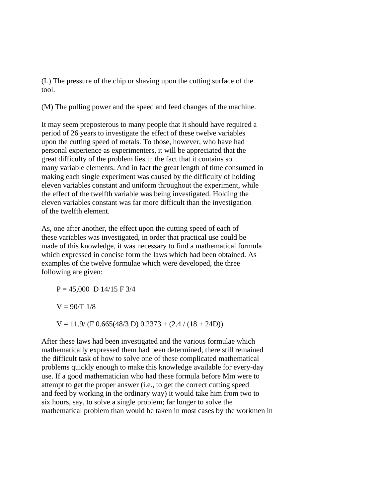(L) The pressure of the chip or shaving upon the cutting surface of the tool.

(M) The pulling power and the speed and feed changes of the machine.

It may seem preposterous to many people that it should have required a period of 26 years to investigate the effect of these twelve variables upon the cutting speed of metals. To those, however, who have had personal experience as experimenters, it will be appreciated that the great difficulty of the problem lies in the fact that it contains so many variable elements. And in fact the great length of time consumed in making each single experiment was caused by the difficulty of holding eleven variables constant and uniform throughout the experiment, while the effect of the twelfth variable was being investigated. Holding the eleven variables constant was far more difficult than the investigation of the twelfth element.

As, one after another, the effect upon the cutting speed of each of these variables was investigated, in order that practical use could be made of this knowledge, it was necessary to find a mathematical formula which expressed in concise form the laws which had been obtained. As examples of the twelve formulae which were developed, the three following are given:

 $P = 45,000 \text{ D } 14/15 \text{ F } 3/4$  $V = 90/T$  1/8  $V = 11.9/(F\,0.665(48/3\,D)\,0.2373 + (2.4/(18 + 24D))$ 

After these laws had been investigated and the various formulae which mathematically expressed them had been determined, there still remained the difficult task of how to solve one of these complicated mathematical problems quickly enough to make this knowledge available for every-day use. If a good mathematician who had these formula before Mm were to attempt to get the proper answer (i.e., to get the correct cutting speed and feed by working in the ordinary way) it would take him from two to six hours, say, to solve a single problem; far longer to solve the mathematical problem than would be taken in most cases by the workmen in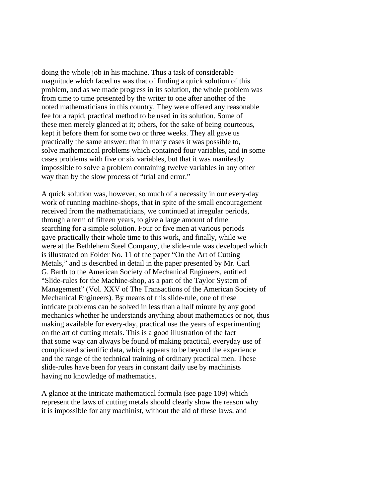doing the whole job in his machine. Thus a task of considerable magnitude which faced us was that of finding a quick solution of this problem, and as we made progress in its solution, the whole problem was from time to time presented by the writer to one after another of the noted mathematicians in this country. They were offered any reasonable fee for a rapid, practical method to be used in its solution. Some of these men merely glanced at it; others, for the sake of being courteous, kept it before them for some two or three weeks. They all gave us practically the same answer: that in many cases it was possible to, solve mathematical problems which contained four variables, and in some cases problems with five or six variables, but that it was manifestly impossible to solve a problem containing twelve variables in any other way than by the slow process of "trial and error."

A quick solution was, however, so much of a necessity in our every-day work of running machine-shops, that in spite of the small encouragement received from the mathematicians, we continued at irregular periods, through a term of fifteen years, to give a large amount of time searching for a simple solution. Four or five men at various periods gave practically their whole time to this work, and finally, while we were at the Bethlehem Steel Company, the slide-rule was developed which is illustrated on Folder No. 11 of the paper "On the Art of Cutting Metals," and is described in detail in the paper presented by Mr. Carl G. Barth to the American Society of Mechanical Engineers, entitled "Slide-rules for the Machine-shop, as a part of the Taylor System of Management" (Vol. XXV of The Transactions of the American Society of Mechanical Engineers). By means of this slide-rule, one of these intricate problems can be solved in less than a half minute by any good mechanics whether he understands anything about mathematics or not, thus making available for every-day, practical use the years of experimenting on the art of cutting metals. This is a good illustration of the fact that some way can always be found of making practical, everyday use of complicated scientific data, which appears to be beyond the experience and the range of the technical training of ordinary practical men. These slide-rules have been for years in constant daily use by machinists having no knowledge of mathematics.

A glance at the intricate mathematical formula (see page 109) which represent the laws of cutting metals should clearly show the reason why it is impossible for any machinist, without the aid of these laws, and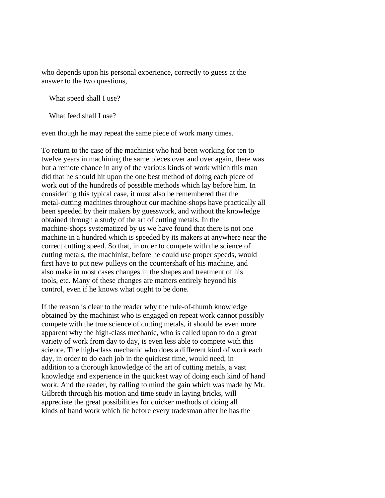who depends upon his personal experience, correctly to guess at the answer to the two questions,

What speed shall I use?

What feed shall I use?

even though he may repeat the same piece of work many times.

To return to the case of the machinist who had been working for ten to twelve years in machining the same pieces over and over again, there was but a remote chance in any of the various kinds of work which this man did that he should hit upon the one best method of doing each piece of work out of the hundreds of possible methods which lay before him. In considering this typical case, it must also be remembered that the metal-cutting machines throughout our machine-shops have practically all been speeded by their makers by guesswork, and without the knowledge obtained through a study of the art of cutting metals. In the machine-shops systematized by us we have found that there is not one machine in a hundred which is speeded by its makers at anywhere near the correct cutting speed. So that, in order to compete with the science of cutting metals, the machinist, before he could use proper speeds, would first have to put new pulleys on the countershaft of his machine, and also make in most cases changes in the shapes and treatment of his tools, etc. Many of these changes are matters entirely beyond his control, even if he knows what ought to be done.

If the reason is clear to the reader why the rule-of-thumb knowledge obtained by the machinist who is engaged on repeat work cannot possibly compete with the true science of cutting metals, it should be even more apparent why the high-class mechanic, who is called upon to do a great variety of work from day to day, is even less able to compete with this science. The high-class mechanic who does a different kind of work each day, in order to do each job in the quickest time, would need, in addition to a thorough knowledge of the art of cutting metals, a vast knowledge and experience in the quickest way of doing each kind of hand work. And the reader, by calling to mind the gain which was made by Mr. Gilbreth through his motion and time study in laying bricks, will appreciate the great possibilities for quicker methods of doing all kinds of hand work which lie before every tradesman after he has the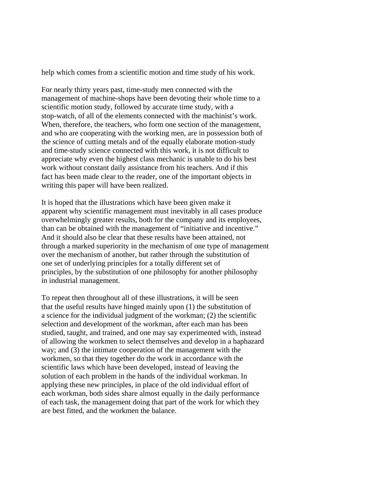help which comes from a scientific motion and time study of his work.

For nearly thirty years past, time-study men connected with the management of machine-shops have been devoting their whole time to a scientific motion study, followed by accurate time study, with a stop-watch, of all of the elements connected with the machinist's work. When, therefore, the teachers, who form one section of the management, and who are cooperating with the working men, are in possession both of the science of cutting metals and of the equally elaborate motion-study and time-study science connected with this work, it is not difficult to appreciate why even the highest class mechanic is unable to do his best work without constant daily assistance from his teachers. And if this fact has been made clear to the reader, one of the important objects in writing this paper will have been realized.

It is hoped that the illustrations which have been given make it apparent why scientific management must inevitably in all cases produce overwhelmingly greater results, both for the company and its employees, than can be obtained with the management of "initiative and incentive." And it should also be clear that these results have been attained, not through a marked superiority in the mechanism of one type of management over the mechanism of another, but rather through the substitution of one set of underlying principles for a totally different set of principles, by the substitution of one philosophy for another philosophy in industrial management.

To repeat then throughout all of these illustrations, it will be seen that the useful results have hinged mainly upon (1) the substitution of a science for the individual judgment of the workman; (2) the scientific selection and development of the workman, after each man has been studied, taught, and trained, and one may say experimented with, instead of allowing the workmen to select themselves and develop in a haphazard way; and (3) the intimate cooperation of the management with the workmen, so that they together do the work in accordance with the scientific laws which have been developed, instead of leaving the solution of each problem in the hands of the individual workman. In applying these new principles, in place of the old individual effort of each workman, both sides share almost equally in the daily performance of each task, the management doing that part of the work for which they are best fitted, and the workmen the balance.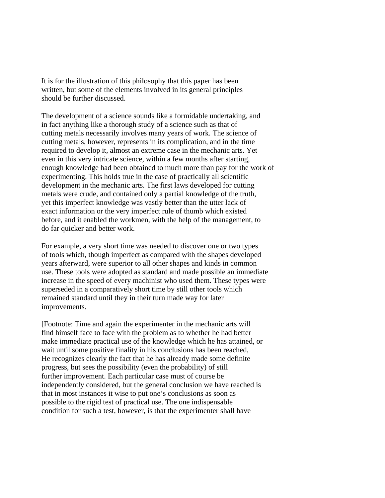It is for the illustration of this philosophy that this paper has been written, but some of the elements involved in its general principles should be further discussed.

The development of a science sounds like a formidable undertaking, and in fact anything like a thorough study of a science such as that of cutting metals necessarily involves many years of work. The science of cutting metals, however, represents in its complication, and in the time required to develop it, almost an extreme case in the mechanic arts. Yet even in this very intricate science, within a few months after starting, enough knowledge had been obtained to much more than pay for the work of experimenting. This holds true in the case of practically all scientific development in the mechanic arts. The first laws developed for cutting metals were crude, and contained only a partial knowledge of the truth, yet this imperfect knowledge was vastly better than the utter lack of exact information or the very imperfect rule of thumb which existed before, and it enabled the workmen, with the help of the management, to do far quicker and better work.

For example, a very short time was needed to discover one or two types of tools which, though imperfect as compared with the shapes developed years afterward, were superior to all other shapes and kinds in common use. These tools were adopted as standard and made possible an immediate increase in the speed of every machinist who used them. These types were superseded in a comparatively short time by still other tools which remained standard until they in their turn made way for later improvements.

[Footnote: Time and again the experimenter in the mechanic arts will find himself face to face with the problem as to whether he had better make immediate practical use of the knowledge which he has attained, or wait until some positive finality in his conclusions has been reached, He recognizes clearly the fact that he has already made some definite progress, but sees the possibility (even the probability) of still further improvement. Each particular case must of course be independently considered, but the general conclusion we have reached is that in most instances it wise to put one's conclusions as soon as possible to the rigid test of practical use. The one indispensable condition for such a test, however, is that the experimenter shall have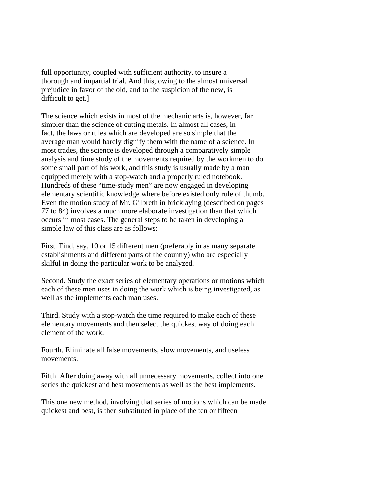full opportunity, coupled with sufficient authority, to insure a thorough and impartial trial. And this, owing to the almost universal prejudice in favor of the old, and to the suspicion of the new, is difficult to get.]

The science which exists in most of the mechanic arts is, however, far simpler than the science of cutting metals. In almost all cases, in fact, the laws or rules which are developed are so simple that the average man would hardly dignify them with the name of a science. In most trades, the science is developed through a comparatively simple analysis and time study of the movements required by the workmen to do some small part of his work, and this study is usually made by a man equipped merely with a stop-watch and a properly ruled notebook. Hundreds of these "time-study men" are now engaged in developing elementary scientific knowledge where before existed only rule of thumb. Even the motion study of Mr. Gilbreth in bricklaying (described on pages 77 to 84) involves a much more elaborate investigation than that which occurs in most cases. The general steps to be taken in developing a simple law of this class are as follows:

First. Find, say, 10 or 15 different men (preferably in as many separate establishments and different parts of the country) who are especially skilful in doing the particular work to be analyzed.

Second. Study the exact series of elementary operations or motions which each of these men uses in doing the work which is being investigated, as well as the implements each man uses.

Third. Study with a stop-watch the time required to make each of these elementary movements and then select the quickest way of doing each element of the work.

Fourth. Eliminate all false movements, slow movements, and useless movements.

Fifth. After doing away with all unnecessary movements, collect into one series the quickest and best movements as well as the best implements.

This one new method, involving that series of motions which can be made quickest and best, is then substituted in place of the ten or fifteen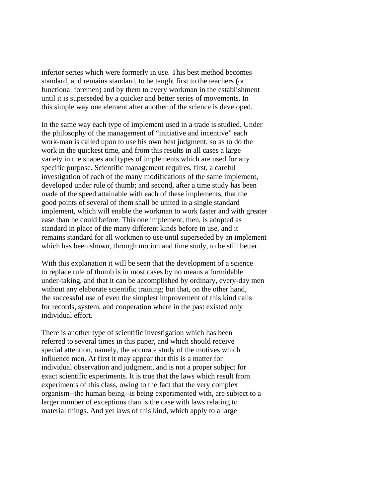inferior series which were formerly in use. This best method becomes standard, and remains standard, to be taught first to the teachers (or functional foremen) and by them to every workman in the establishment until it is superseded by a quicker and better series of movements. In this simple way one element after another of the science is developed.

In the same way each type of implement used in a trade is studied. Under the philosophy of the management of "initiative and incentive" each work-man is called upon to use his own best judgment, so as to do the work in the quickest time, and from this results in all cases a large variety in the shapes and types of implements which are used for any specific purpose. Scientific management requires, first, a careful investigation of each of the many modifications of the same implement, developed under rule of thumb; and second, after a time study has been made of the speed attainable with each of these implements, that the good points of several of them shall be united in a single standard implement, which will enable the workman to work faster and with greater ease than he could before. This one implement, then, is adopted as standard in place of the many different kinds before in use, and it remains standard for all workmen to use until superseded by an implement which has been shown, through motion and time study, to be still better.

With this explanation it will be seen that the development of a science to replace rule of thumb is in most cases by no means a formidable under-taking, and that it can be accomplished by ordinary, every-day men without any elaborate scientific training; but that, on the other hand, the successful use of even the simplest improvement of this kind calls for records, system, and cooperation where in the past existed only individual effort.

There is another type of scientific investigation which has been referred to several times in this paper, and which should receive special attention, namely, the accurate study of the motives which influence men. At first it may appear that this is a matter for individual observation and judgment, and is not a proper subject for exact scientific experiments. It is true that the laws which result from experiments of this class, owing to the fact that the very complex organism--the human being--is being experimented with, are subject to a larger number of exceptions than is the case with laws relating to material things. And yet laws of this kind, which apply to a large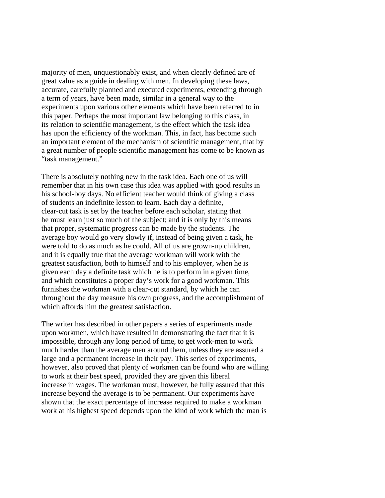majority of men, unquestionably exist, and when clearly defined are of great value as a guide in dealing with men. In developing these laws, accurate, carefully planned and executed experiments, extending through a term of years, have been made, similar in a general way to the experiments upon various other elements which have been referred to in this paper. Perhaps the most important law belonging to this class, in its relation to scientific management, is the effect which the task idea has upon the efficiency of the workman. This, in fact, has become such an important element of the mechanism of scientific management, that by a great number of people scientific management has come to be known as "task management."

There is absolutely nothing new in the task idea. Each one of us will remember that in his own case this idea was applied with good results in his school-boy days. No efficient teacher would think of giving a class of students an indefinite lesson to learn. Each day a definite, clear-cut task is set by the teacher before each scholar, stating that he must learn just so much of the subject; and it is only by this means that proper, systematic progress can be made by the students. The average boy would go very slowly if, instead of being given a task, he were told to do as much as he could. All of us are grown-up children, and it is equally true that the average workman will work with the greatest satisfaction, both to himself and to his employer, when he is given each day a definite task which he is to perform in a given time, and which constitutes a proper day's work for a good workman. This furnishes the workman with a clear-cut standard, by which he can throughout the day measure his own progress, and the accomplishment of which affords him the greatest satisfaction.

The writer has described in other papers a series of experiments made upon workmen, which have resulted in demonstrating the fact that it is impossible, through any long period of time, to get work-men to work much harder than the average men around them, unless they are assured a large and a permanent increase in their pay. This series of experiments, however, also proved that plenty of workmen can be found who are willing to work at their best speed, provided they are given this liberal increase in wages. The workman must, however, be fully assured that this increase beyond the average is to be permanent. Our experiments have shown that the exact percentage of increase required to make a workman work at his highest speed depends upon the kind of work which the man is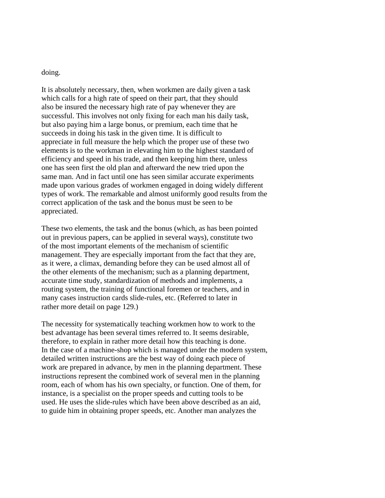## doing.

It is absolutely necessary, then, when workmen are daily given a task which calls for a high rate of speed on their part, that they should also be insured the necessary high rate of pay whenever they are successful. This involves not only fixing for each man his daily task, but also paying him a large bonus, or premium, each time that he succeeds in doing his task in the given time. It is difficult to appreciate in full measure the help which the proper use of these two elements is to the workman in elevating him to the highest standard of efficiency and speed in his trade, and then keeping him there, unless one has seen first the old plan and afterward the new tried upon the same man. And in fact until one has seen similar accurate experiments made upon various grades of workmen engaged in doing widely different types of work. The remarkable and almost uniformly good results from the correct application of the task and the bonus must be seen to be appreciated.

These two elements, the task and the bonus (which, as has been pointed out in previous papers, can be applied in several ways), constitute two of the most important elements of the mechanism of scientific management. They are especially important from the fact that they are, as it were, a climax, demanding before they can be used almost all of the other elements of the mechanism; such as a planning department, accurate time study, standardization of methods and implements, a routing system, the training of functional foremen or teachers, and in many cases instruction cards slide-rules, etc. (Referred to later in rather more detail on page 129.)

The necessity for systematically teaching workmen how to work to the best advantage has been several times referred to. It seems desirable, therefore, to explain in rather more detail how this teaching is done. In the case of a machine-shop which is managed under the modern system, detailed written instructions are the best way of doing each piece of work are prepared in advance, by men in the planning department. These instructions represent the combined work of several men in the planning room, each of whom has his own specialty, or function. One of them, for instance, is a specialist on the proper speeds and cutting tools to be used. He uses the slide-rules which have been above described as an aid, to guide him in obtaining proper speeds, etc. Another man analyzes the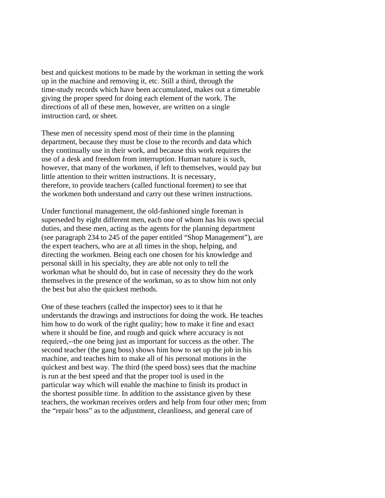best and quickest motions to be made by the workman in setting the work up in the machine and removing it, etc. Still a third, through the time-study records which have been accumulated, makes out a timetable giving the proper speed for doing each element of the work. The directions of all of these men, however, are written on a single instruction card, or sheet.

These men of necessity spend most of their time in the planning department, because they must be close to the records and data which they continually use in their work, and because this work requires the use of a desk and freedom from interruption. Human nature is such, however, that many of the workmen, if left to themselves, would pay but little attention to their written instructions. It is necessary, therefore, to provide teachers (called functional foremen) to see that the workmen both understand and carry out these written instructions.

Under functional management, the old-fashioned single foreman is superseded by eight different men, each one of whom has his own special duties, and these men, acting as the agents for the planning department (see paragraph 234 to 245 of the paper entitled "Shop Management"), are the expert teachers, who are at all times in the shop, helping, and directing the workmen. Being each one chosen for his knowledge and personal skill in his specialty, they are able not only to tell the workman what he should do, but in case of necessity they do the work themselves in the presence of the workman, so as to show him not only the best but also the quickest methods.

One of these teachers (called the inspector) sees to it that he understands the drawings and instructions for doing the work. He teaches him how to do work of the right quality; how to make it fine and exact where it should be fine, and rough and quick where accuracy is not required,--the one being just as important for success as the other. The second teacher (the gang boss) shows him how to set up the job in his machine, and teaches him to make all of his personal motions in the quickest and best way. The third (the speed boss) sees that the machine is run at the best speed and that the proper tool is used in the particular way which will enable the machine to finish its product in the shortest possible time. In addition to the assistance given by these teachers, the workman receives orders and help from four other men; from the "repair boss" as to the adjustment, cleanliness, and general care of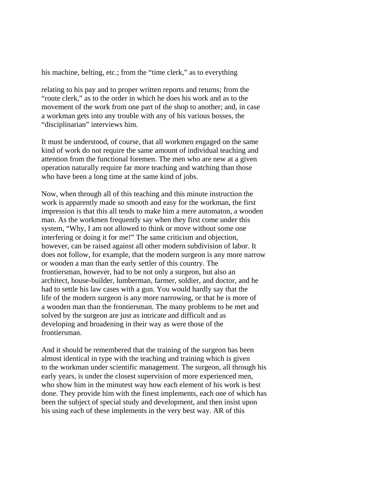his machine, belting, etc.; from the "time clerk," as to everything

relating to his pay and to proper written reports and returns; from the "route clerk," as to the order in which he does his work and as to the movement of the work from one part of the shop to another; and, in case a workman gets into any trouble with any of his various bosses, the "disciplinarian" interviews him.

It must be understood, of course, that all workmen engaged on the same kind of work do not require the same amount of individual teaching and attention from the functional foremen. The men who are new at a given operation naturally require far more teaching and watching than those who have been a long time at the same kind of jobs.

Now, when through all of this teaching and this minute instruction the work is apparently made so smooth and easy for the workman, the first impression is that this all tends to make him a mere automaton, a wooden man. As the workmen frequently say when they first come under this system, "Why, I am not allowed to think or move without some one interfering or doing it for me!" The same criticism and objection, however, can be raised against all other modern subdivision of labor. It does not follow, for example, that the modern surgeon is any more narrow or wooden a man than the early settler of this country. The frontiersman, however, had to be not only a surgeon, but also an architect, house-builder, lumberman, farmer, soldier, and doctor, and he had to settle his law cases with a gun. You would hardly say that the life of the modern surgeon is any more narrowing, or that he is more of a wooden man than the frontiersman. The many problems to be met and solved by the surgeon are just as intricate and difficult and as developing and broadening in their way as were those of the frontiersman.

And it should be remembered that the training of the surgeon has been almost identical in type with the teaching and training which is given to the workman under scientific management. The surgeon, all through his early years, is under the closest supervision of more experienced men, who show him in the minutest way how each element of his work is best done. They provide him with the finest implements, each one of which has been the subject of special study and development, and then insist upon his using each of these implements in the very best way. AR of this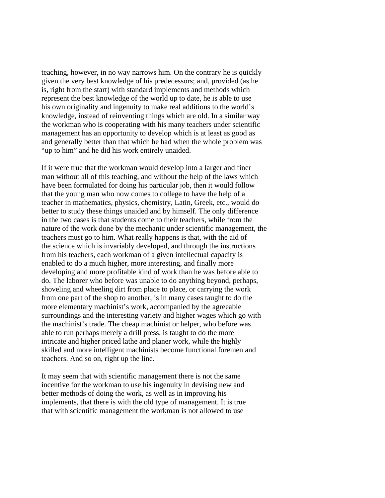teaching, however, in no way narrows him. On the contrary he is quickly given the very best knowledge of his predecessors; and, provided (as he is, right from the start) with standard implements and methods which represent the best knowledge of the world up to date, he is able to use his own originality and ingenuity to make real additions to the world's knowledge, instead of reinventing things which are old. In a similar way the workman who is cooperating with his many teachers under scientific management has an opportunity to develop which is at least as good as and generally better than that which he had when the whole problem was "up to him" and he did his work entirely unaided.

If it were true that the workman would develop into a larger and finer man without all of this teaching, and without the help of the laws which have been formulated for doing his particular job, then it would follow that the young man who now comes to college to have the help of a teacher in mathematics, physics, chemistry, Latin, Greek, etc., would do better to study these things unaided and by himself. The only difference in the two cases is that students come to their teachers, while from the nature of the work done by the mechanic under scientific management, the teachers must go to him. What really happens is that, with the aid of the science which is invariably developed, and through the instructions from his teachers, each workman of a given intellectual capacity is enabled to do a much higher, more interesting, and finally more developing and more profitable kind of work than he was before able to do. The laborer who before was unable to do anything beyond, perhaps, shoveling and wheeling dirt from place to place, or carrying the work from one part of the shop to another, is in many cases taught to do the more elementary machinist's work, accompanied by the agreeable surroundings and the interesting variety and higher wages which go with the machinist's trade. The cheap machinist or helper, who before was able to run perhaps merely a drill press, is taught to do the more intricate and higher priced lathe and planer work, while the highly skilled and more intelligent machinists become functional foremen and teachers. And so on, right up the line.

It may seem that with scientific management there is not the same incentive for the workman to use his ingenuity in devising new and better methods of doing the work, as well as in improving his implements, that there is with the old type of management. It is true that with scientific management the workman is not allowed to use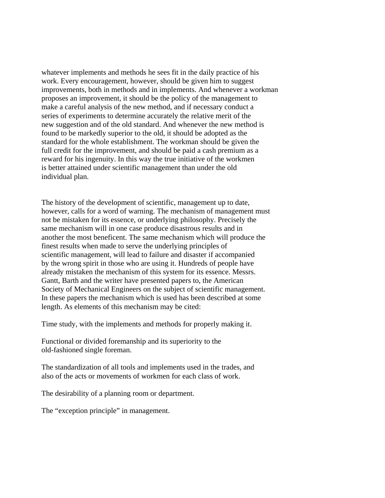whatever implements and methods he sees fit in the daily practice of his work. Every encouragement, however, should be given him to suggest improvements, both in methods and in implements. And whenever a workman proposes an improvement, it should be the policy of the management to make a careful analysis of the new method, and if necessary conduct a series of experiments to determine accurately the relative merit of the new suggestion and of the old standard. And whenever the new method is found to be markedly superior to the old, it should be adopted as the standard for the whole establishment. The workman should be given the full credit for the improvement, and should be paid a cash premium as a reward for his ingenuity. In this way the true initiative of the workmen is better attained under scientific management than under the old individual plan.

The history of the development of scientific, management up to date, however, calls for a word of warning. The mechanism of management must not be mistaken for its essence, or underlying philosophy. Precisely the same mechanism will in one case produce disastrous results and in another the most beneficent. The same mechanism which will produce the finest results when made to serve the underlying principles of scientific management, will lead to failure and disaster if accompanied by the wrong spirit in those who are using it. Hundreds of people have already mistaken the mechanism of this system for its essence. Messrs. Gantt, Barth and the writer have presented papers to, the American Society of Mechanical Engineers on the subject of scientific management. In these papers the mechanism which is used has been described at some length. As elements of this mechanism may be cited:

Time study, with the implements and methods for properly making it.

Functional or divided foremanship and its superiority to the old-fashioned single foreman.

The standardization of all tools and implements used in the trades, and also of the acts or movements of workmen for each class of work.

The desirability of a planning room or department.

The "exception principle" in management.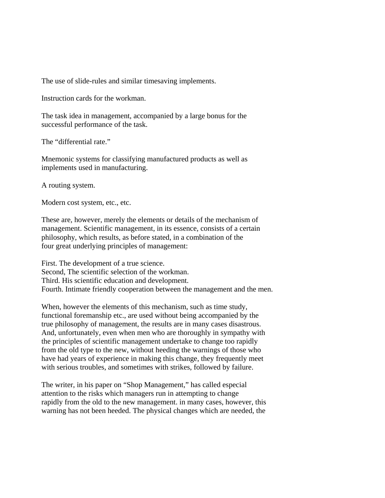The use of slide-rules and similar timesaving implements.

Instruction cards for the workman.

The task idea in management, accompanied by a large bonus for the successful performance of the task.

The "differential rate."

Mnemonic systems for classifying manufactured products as well as implements used in manufacturing.

A routing system.

Modern cost system, etc., etc.

These are, however, merely the elements or details of the mechanism of management. Scientific management, in its essence, consists of a certain philosophy, which results, as before stated, in a combination of the four great underlying principles of management:

First. The development of a true science. Second, The scientific selection of the workman. Third. His scientific education and development. Fourth. Intimate friendly cooperation between the management and the men.

When, however the elements of this mechanism, such as time study, functional foremanship etc., are used without being accompanied by the true philosophy of management, the results are in many cases disastrous. And, unfortunately, even when men who are thoroughly in sympathy with the principles of scientific management undertake to change too rapidly from the old type to the new, without heeding the warnings of those who have had years of experience in making this change, they frequently meet with serious troubles, and sometimes with strikes, followed by failure.

The writer, in his paper on "Shop Management," has called especial attention to the risks which managers run in attempting to change rapidly from the old to the new management. in many cases, however, this warning has not been heeded. The physical changes which are needed, the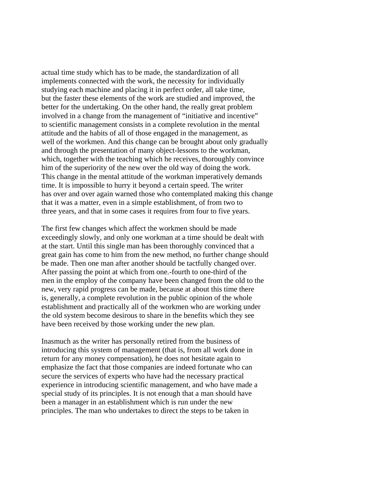actual time study which has to be made, the standardization of all implements connected with the work, the necessity for individually studying each machine and placing it in perfect order, all take time, but the faster these elements of the work are studied and improved, the better for the undertaking. On the other hand, the really great problem involved in a change from the management of "initiative and incentive" to scientific management consists in a complete revolution in the mental attitude and the habits of all of those engaged in the management, as well of the workmen. And this change can be brought about only gradually and through the presentation of many object-lessons to the workman, which, together with the teaching which he receives, thoroughly convince him of the superiority of the new over the old way of doing the work. This change in the mental attitude of the workman imperatively demands time. It is impossible to hurry it beyond a certain speed. The writer has over and over again warned those who contemplated making this change that it was a matter, even in a simple establishment, of from two to three years, and that in some cases it requires from four to five years.

The first few changes which affect the workmen should be made exceedingly slowly, and only one workman at a time should be dealt with at the start. Until this single man has been thoroughly convinced that a great gain has come to him from the new method, no further change should be made. Then one man after another should be tactfully changed over. After passing the point at which from one.-fourth to one-third of the men in the employ of the company have been changed from the old to the new, very rapid progress can be made, because at about this time there is, generally, a complete revolution in the public opinion of the whole establishment and practically all of the workmen who are working under the old system become desirous to share in the benefits which they see have been received by those working under the new plan.

Inasmuch as the writer has personally retired from the business of introducing this system of management (that is, from all work done in return for any money compensation), he does not hesitate again to emphasize the fact that those companies are indeed fortunate who can secure the services of experts who have had the necessary practical experience in introducing scientific management, and who have made a special study of its principles. It is not enough that a man should have been a manager in an establishment which is run under the new principles. The man who undertakes to direct the steps to be taken in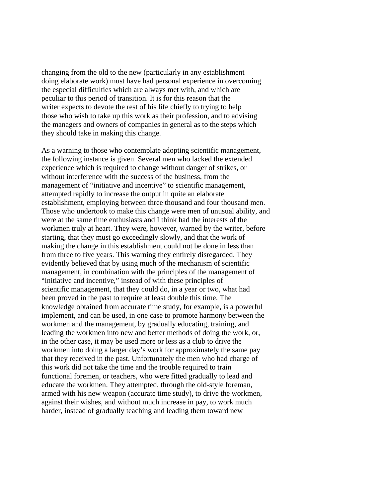changing from the old to the new (particularly in any establishment doing elaborate work) must have had personal experience in overcoming the especial difficulties which are always met with, and which are peculiar to this period of transition. It is for this reason that the writer expects to devote the rest of his life chiefly to trying to help those who wish to take up this work as their profession, and to advising the managers and owners of companies in general as to the steps which they should take in making this change.

As a warning to those who contemplate adopting scientific management, the following instance is given. Several men who lacked the extended experience which is required to change without danger of strikes, or without interference with the success of the business, from the management of "initiative and incentive" to scientific management, attempted rapidly to increase the output in quite an elaborate establishment, employing between three thousand and four thousand men. Those who undertook to make this change were men of unusual ability, and were at the same time enthusiasts and I think had the interests of the workmen truly at heart. They were, however, warned by the writer, before starting, that they must go exceedingly slowly, and that the work of making the change in this establishment could not be done in less than from three to five years. This warning they entirely disregarded. They evidently believed that by using much of the mechanism of scientific management, in combination with the principles of the management of "initiative and incentive," instead of with these principles of scientific management, that they could do, in a year or two, what had been proved in the past to require at least double this time. The knowledge obtained from accurate time study, for example, is a powerful implement, and can be used, in one case to promote harmony between the workmen and the management, by gradually educating, training, and leading the workmen into new and better methods of doing the work, or, in the other case, it may be used more or less as a club to drive the workmen into doing a larger day's work for approximately the same pay that they received in the past. Unfortunately the men who had charge of this work did not take the time and the trouble required to train functional foremen, or teachers, who were fitted gradually to lead and educate the workmen. They attempted, through the old-style foreman, armed with his new weapon (accurate time study), to drive the workmen, against their wishes, and without much increase in pay, to work much harder, instead of gradually teaching and leading them toward new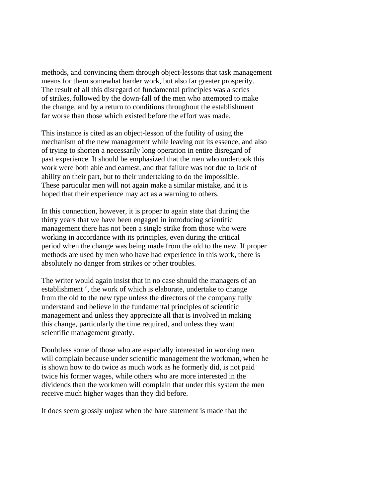methods, and convincing them through object-lessons that task management means for them somewhat harder work, but also far greater prosperity. The result of all this disregard of fundamental principles was a series of strikes, followed by the down-fall of the men who attempted to make the change, and by a return to conditions throughout the establishment far worse than those which existed before the effort was made.

This instance is cited as an object-lesson of the futility of using the mechanism of the new management while leaving out its essence, and also of trying to shorten a necessarily long operation in entire disregard of past experience. It should be emphasized that the men who undertook this work were both able and earnest, and that failure was not due to lack of ability on their part, but to their undertaking to do the impossible. These particular men will not again make a similar mistake, and it is hoped that their experience may act as a warning to others.

In this connection, however, it is proper to again state that during the thirty years that we have been engaged in introducing scientific management there has not been a single strike from those who were working in accordance with its principles, even during the critical period when the change was being made from the old to the new. If proper methods are used by men who have had experience in this work, there is absolutely no danger from strikes or other troubles.

The writer would again insist that in no case should the managers of an establishment ', the work of which is elaborate, undertake to change from the old to the new type unless the directors of the company fully understand and believe in the fundamental principles of scientific management and unless they appreciate all that is involved in making this change, particularly the time required, and unless they want scientific management greatly.

Doubtless some of those who are especially interested in working men will complain because under scientific management the workman, when he is shown how to do twice as much work as he formerly did, is not paid twice his former wages, while others who are more interested in the dividends than the workmen will complain that under this system the men receive much higher wages than they did before.

It does seem grossly unjust when the bare statement is made that the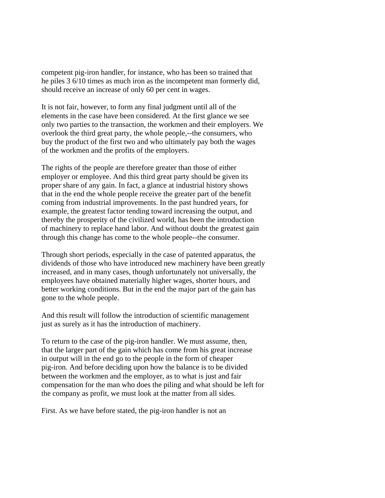competent pig-iron handler, for instance, who has been so trained that he piles 3 6/10 times as much iron as the incompetent man formerly did, should receive an increase of only 60 per cent in wages.

It is not fair, however, to form any final judgment until all of the elements in the case have been considered. At the first glance we see only two parties to the transaction, the workmen and their employers. We overlook the third great party, the whole people,--the consumers, who buy the product of the first two and who ultimately pay both the wages of the workmen and the profits of the employers.

The rights of the people are therefore greater than those of either employer or employee. And this third great party should be given its proper share of any gain. In fact, a glance at industrial history shows that in the end the whole people receive the greater part of the benefit coming from industrial improvements. In the past hundred years, for example, the greatest factor tending toward increasing the output, and thereby the prosperity of the civilized world, has been the introduction of machinery to replace hand labor. And without doubt the greatest gain through this change has come to the whole people--the consumer.

Through short periods, especially in the case of patented apparatus, the dividends of those who have introduced new machinery have been greatly increased, and in many cases, though unfortunately not universally, the employees have obtained materially higher wages, shorter hours, and better working conditions. But in the end the major part of the gain has gone to the whole people.

And this result will follow the introduction of scientific management just as surely as it has the introduction of machinery.

To return to the case of the pig-iron handler. We must assume, then, that the larger part of the gain which has come from his great increase in output will in the end go to the people in the form of cheaper pig-iron. And before deciding upon how the balance is to be divided between the workmen and the employer, as to what is just and fair compensation for the man who does the piling and what should be left for the company as profit, we must look at the matter from all sides.

First. As we have before stated, the pig-iron handler is not an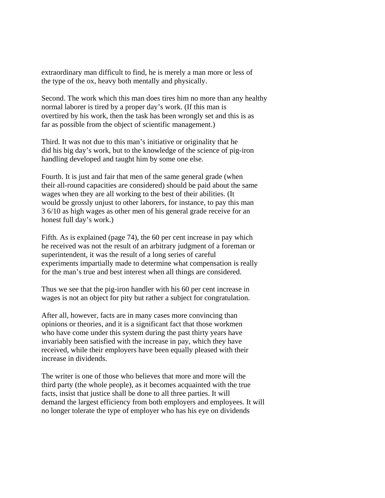extraordinary man difficult to find, he is merely a man more or less of the type of the ox, heavy both mentally and physically.

Second. The work which this man does tires him no more than any healthy normal laborer is tired by a proper day's work. (If this man is overtired by his work, then the task has been wrongly set and this is as far as possible from the object of scientific management.)

Third. It was not due to this man's initiative or originality that he did his big day's work, but to the knowledge of the science of pig-iron handling developed and taught him by some one else.

Fourth. It is just and fair that men of the same general grade (when their all-round capacities are considered) should be paid about the same wages when they are all working to the best of their abilities. (It would be grossly unjust to other laborers, for instance, to pay this man 3 6/10 as high wages as other men of his general grade receive for an honest full day's work.)

Fifth. As is explained (page 74), the 60 per cent increase in pay which he received was not the result of an arbitrary judgment of a foreman or superintendent, it was the result of a long series of careful experiments impartially made to determine what compensation is really for the man's true and best interest when all things are considered.

Thus we see that the pig-iron handler with his 60 per cent increase in wages is not an object for pity but rather a subject for congratulation.

After all, however, facts are in many cases more convincing than opinions or theories, and it is a significant fact that those workmen who have come under this system during the past thirty years have invariably been satisfied with the increase in pay, which they have received, while their employers have been equally pleased with their increase in dividends.

The writer is one of those who believes that more and more will the third party (the whole people), as it becomes acquainted with the true facts, insist that justice shall be done to all three parties. It will demand the largest efficiency from both employers and employees. It will no longer tolerate the type of employer who has his eye on dividends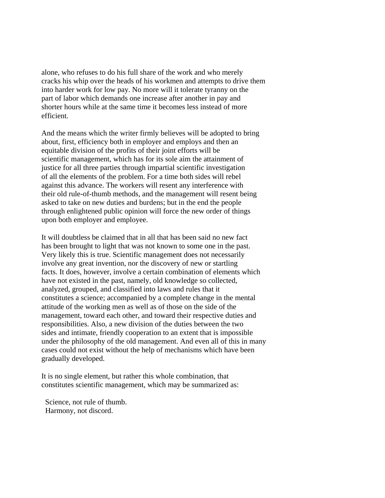alone, who refuses to do his full share of the work and who merely cracks his whip over the heads of his workmen and attempts to drive them into harder work for low pay. No more will it tolerate tyranny on the part of labor which demands one increase after another in pay and shorter hours while at the same time it becomes less instead of more efficient.

And the means which the writer firmly believes will be adopted to bring about, first, efficiency both in employer and employs and then an equitable division of the profits of their joint efforts will be scientific management, which has for its sole aim the attainment of justice for all three parties through impartial scientific investigation of all the elements of the problem. For a time both sides will rebel against this advance. The workers will resent any interference with their old rule-of-thumb methods, and the management will resent being asked to take on new duties and burdens; but in the end the people through enlightened public opinion will force the new order of things upon both employer and employee.

It will doubtless be claimed that in all that has been said no new fact has been brought to light that was not known to some one in the past. Very likely this is true. Scientific management does not necessarily involve any great invention, nor the discovery of new or startling facts. It does, however, involve a certain combination of elements which have not existed in the past, namely, old knowledge so collected, analyzed, grouped, and classified into laws and rules that it constitutes a science; accompanied by a complete change in the mental attitude of the working men as well as of those on the side of the management, toward each other, and toward their respective duties and responsibilities. Also, a new division of the duties between the two sides and intimate, friendly cooperation to an extent that is impossible under the philosophy of the old management. And even all of this in many cases could not exist without the help of mechanisms which have been gradually developed.

It is no single element, but rather this whole combination, that constitutes scientific management, which may be summarized as:

 Science, not rule of thumb. Harmony, not discord.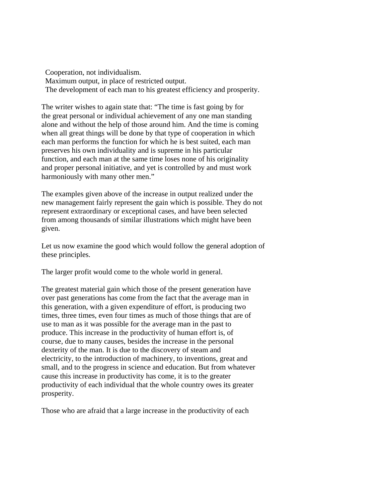Cooperation, not individualism. Maximum output, in place of restricted output. The development of each man to his greatest efficiency and prosperity.

The writer wishes to again state that: "The time is fast going by for the great personal or individual achievement of any one man standing alone and without the help of those around him. And the time is coming when all great things will be done by that type of cooperation in which each man performs the function for which he is best suited, each man preserves his own individuality and is supreme in his particular function, and each man at the same time loses none of his originality and proper personal initiative, and yet is controlled by and must work harmoniously with many other men."

The examples given above of the increase in output realized under the new management fairly represent the gain which is possible. They do not represent extraordinary or exceptional cases, and have been selected from among thousands of similar illustrations which might have been given.

Let us now examine the good which would follow the general adoption of these principles.

The larger profit would come to the whole world in general.

The greatest material gain which those of the present generation have over past generations has come from the fact that the average man in this generation, with a given expenditure of effort, is producing two times, three times, even four times as much of those things that are of use to man as it was possible for the average man in the past to produce. This increase in the productivity of human effort is, of course, due to many causes, besides the increase in the personal dexterity of the man. It is due to the discovery of steam and electricity, to the introduction of machinery, to inventions, great and small, and to the progress in science and education. But from whatever cause this increase in productivity has come, it is to the greater productivity of each individual that the whole country owes its greater prosperity.

Those who are afraid that a large increase in the productivity of each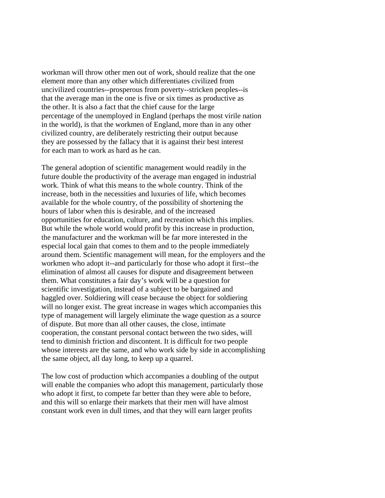workman will throw other men out of work, should realize that the one element more than any other which differentiates civilized from uncivilized countries--prosperous from poverty--stricken peoples--is that the average man in the one is five or six times as productive as the other. It is also a fact that the chief cause for the large percentage of the unemployed in England (perhaps the most virile nation in the world), is that the workmen of England, more than in any other civilized country, are deliberately restricting their output because they are possessed by the fallacy that it is against their best interest for each man to work as hard as he can.

The general adoption of scientific management would readily in the future double the productivity of the average man engaged in industrial work. Think of what this means to the whole country. Think of the increase, both in the necessities and luxuries of life, which becomes available for the whole country, of the possibility of shortening the hours of labor when this is desirable, and of the increased opportunities for education, culture, and recreation which this implies. But while the whole world would profit by this increase in production, the manufacturer and the workman will be far more interested in the especial local gain that comes to them and to the people immediately around them. Scientific management will mean, for the employers and the workmen who adopt it--and particularly for those who adopt it first--the elimination of almost all causes for dispute and disagreement between them. What constitutes a fair day's work will be a question for scientific investigation, instead of a subject to be bargained and haggled over. Soldiering will cease because the object for soldiering will no longer exist. The great increase in wages which accompanies this type of management will largely eliminate the wage question as a source of dispute. But more than all other causes, the close, intimate cooperation, the constant personal contact between the two sides, will tend to diminish friction and discontent. It is difficult for two people whose interests are the same, and who work side by side in accomplishing the same object, all day long, to keep up a quarrel.

The low cost of production which accompanies a doubling of the output will enable the companies who adopt this management, particularly those who adopt it first, to compete far better than they were able to before, and this will so enlarge their markets that their men will have almost constant work even in dull times, and that they will earn larger profits